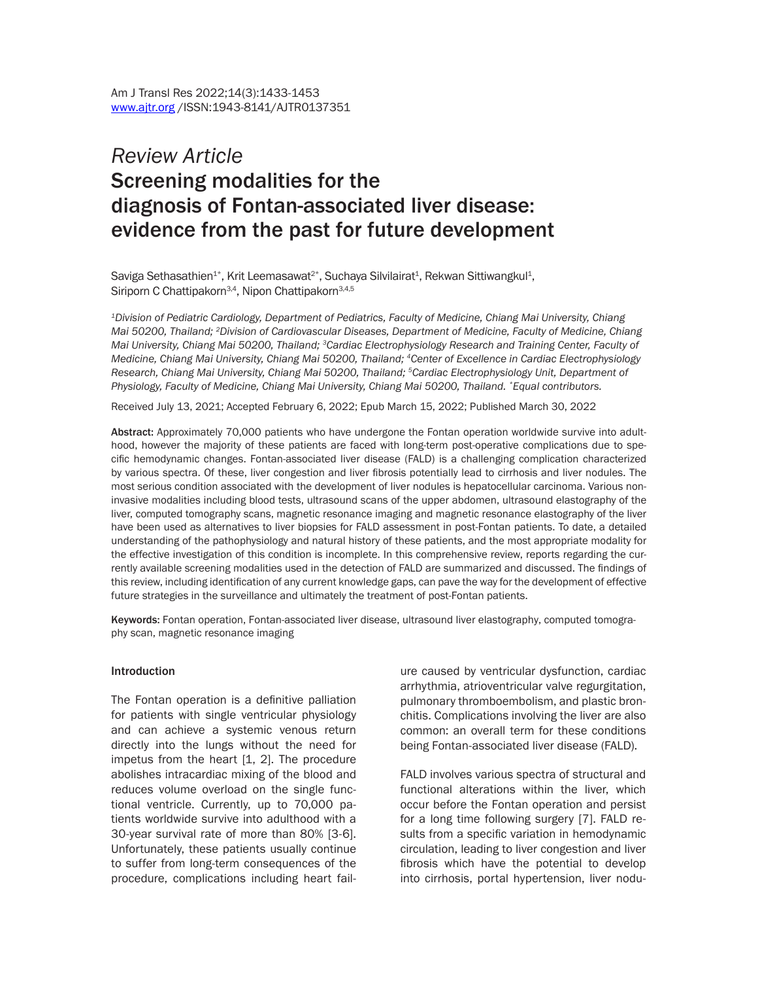# *Review Article* Screening modalities for the diagnosis of Fontan-associated liver disease: evidence from the past for future development

Saviga Sethasathien<sup>1\*</sup>, Krit Leemasawat<sup>2\*</sup>, Suchaya Silvilairat<sup>1</sup>, Rekwan Sittiwangkul<sup>1</sup>, Siriporn C Chattipakorn<sup>3,4</sup>, Nipon Chattipakorn<sup>3,4,5</sup>

*1Division of Pediatric Cardiology, Department of Pediatrics, Faculty of Medicine, Chiang Mai University, Chiang Mai 50200, Thailand; 2Division of Cardiovascular Diseases, Department of Medicine, Faculty of Medicine, Chiang Mai University, Chiang Mai 50200, Thailand; 3Cardiac Electrophysiology Research and Training Center, Faculty of Medicine, Chiang Mai University, Chiang Mai 50200, Thailand; 4Center of Excellence in Cardiac Electrophysiology Research, Chiang Mai University, Chiang Mai 50200, Thailand; 5Cardiac Electrophysiology Unit, Department of Physiology, Faculty of Medicine, Chiang Mai University, Chiang Mai 50200, Thailand. \*Equal contributors.*

Received July 13, 2021; Accepted February 6, 2022; Epub March 15, 2022; Published March 30, 2022

Abstract: Approximately 70,000 patients who have undergone the Fontan operation worldwide survive into adulthood, however the majority of these patients are faced with long-term post-operative complications due to specific hemodynamic changes. Fontan-associated liver disease (FALD) is a challenging complication characterized by various spectra. Of these, liver congestion and liver fibrosis potentially lead to cirrhosis and liver nodules. The most serious condition associated with the development of liver nodules is hepatocellular carcinoma. Various noninvasive modalities including blood tests, ultrasound scans of the upper abdomen, ultrasound elastography of the liver, computed tomography scans, magnetic resonance imaging and magnetic resonance elastography of the liver have been used as alternatives to liver biopsies for FALD assessment in post-Fontan patients. To date, a detailed understanding of the pathophysiology and natural history of these patients, and the most appropriate modality for the effective investigation of this condition is incomplete. In this comprehensive review, reports regarding the currently available screening modalities used in the detection of FALD are summarized and discussed. The findings of this review, including identification of any current knowledge gaps, can pave the way for the development of effective future strategies in the surveillance and ultimately the treatment of post-Fontan patients.

Keywords: Fontan operation, Fontan-associated liver disease, ultrasound liver elastography, computed tomography scan, magnetic resonance imaging

#### Introduction

The Fontan operation is a definitive palliation for patients with single ventricular physiology and can achieve a systemic venous return directly into the lungs without the need for impetus from the heart [1, 2]. The procedure abolishes intracardiac mixing of the blood and reduces volume overload on the single functional ventricle. Currently, up to 70,000 patients worldwide survive into adulthood with a 30-year survival rate of more than 80% [3-6]. Unfortunately, these patients usually continue to suffer from long-term consequences of the procedure, complications including heart failure caused by ventricular dysfunction, cardiac arrhythmia, atrioventricular valve regurgitation, pulmonary thromboembolism, and plastic bronchitis. Complications involving the liver are also common: an overall term for these conditions being Fontan-associated liver disease (FALD).

FALD involves various spectra of structural and functional alterations within the liver, which occur before the Fontan operation and persist for a long time following surgery [7]. FALD results from a specific variation in hemodynamic circulation, leading to liver congestion and liver fibrosis which have the potential to develop into cirrhosis, portal hypertension, liver nodu-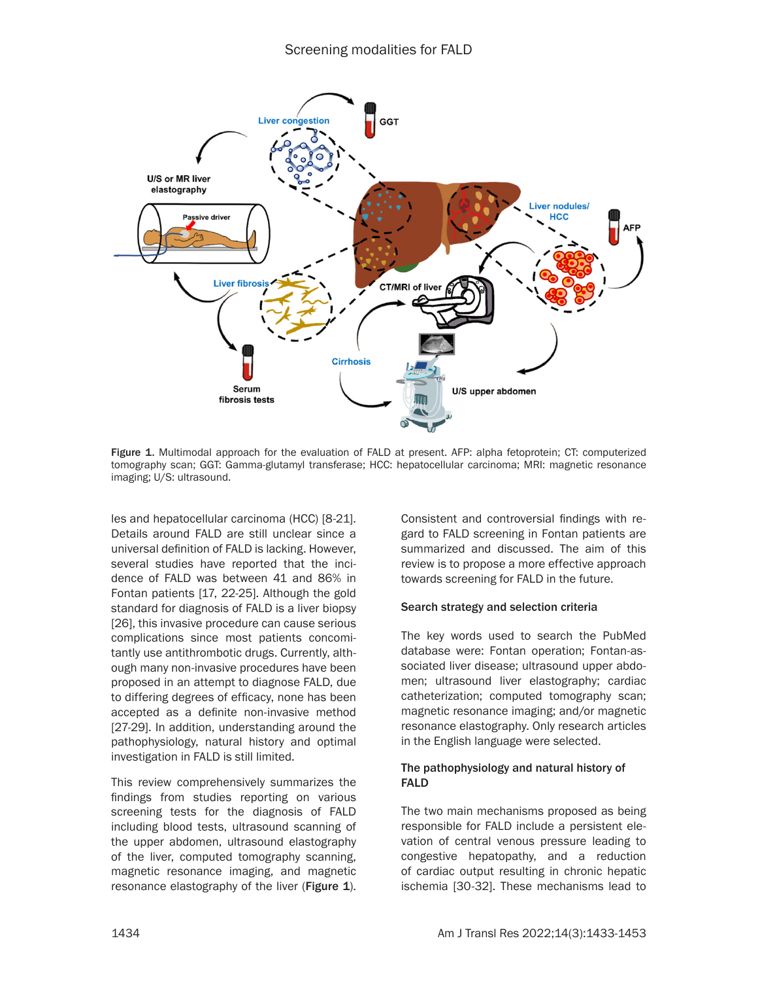

Figure 1. Multimodal approach for the evaluation of FALD at present. AFP: alpha fetoprotein; CT: computerized tomography scan; GGT: Gamma-glutamyl transferase; HCC: hepatocellular carcinoma; MRI: magnetic resonance imaging; U/S: ultrasound.

les and hepatocellular carcinoma (HCC) [8-21]. Details around FALD are still unclear since a universal definition of FALD is lacking. However, several studies have reported that the incidence of FALD was between 41 and 86% in Fontan patients [17, 22-25]. Although the gold standard for diagnosis of FALD is a liver biopsy [26], this invasive procedure can cause serious complications since most patients concomitantly use antithrombotic drugs. Currently, although many non-invasive procedures have been proposed in an attempt to diagnose FALD, due to differing degrees of efficacy, none has been accepted as a definite non-invasive method [27-29]. In addition, understanding around the pathophysiology, natural history and optimal investigation in FALD is still limited.

This review comprehensively summarizes the findings from studies reporting on various screening tests for the diagnosis of FALD including blood tests, ultrasound scanning of the upper abdomen, ultrasound elastography of the liver, computed tomography scanning, magnetic resonance imaging, and magnetic resonance elastography of the liver (Figure 1). Consistent and controversial findings with regard to FALD screening in Fontan patients are summarized and discussed. The aim of this review is to propose a more effective approach towards screening for FALD in the future.

### Search strategy and selection criteria

The key words used to search the PubMed database were: Fontan operation; Fontan-associated liver disease; ultrasound upper abdomen; ultrasound liver elastography; cardiac catheterization; computed tomography scan; magnetic resonance imaging; and/or magnetic resonance elastography. Only research articles in the English language were selected.

### The pathophysiology and natural history of FALD

The two main mechanisms proposed as being responsible for FALD include a persistent elevation of central venous pressure leading to congestive hepatopathy, and a reduction of cardiac output resulting in chronic hepatic ischemia [30-32]. These mechanisms lead to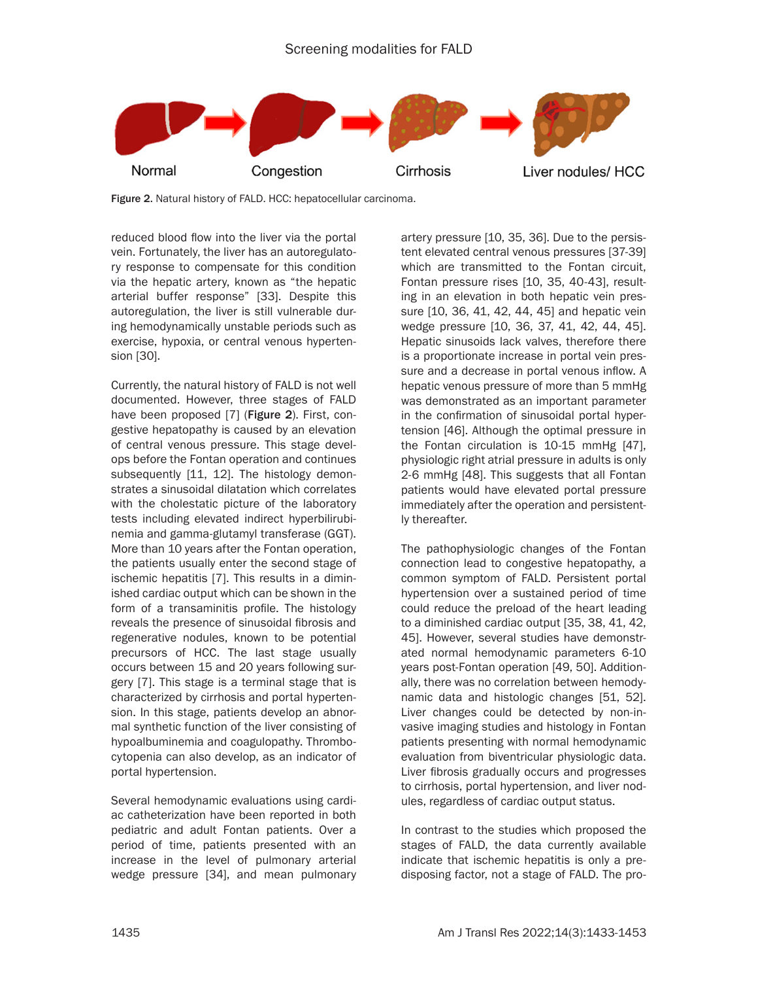

Figure 2. Natural history of FALD. HCC: hepatocellular carcinoma.

reduced blood flow into the liver via the portal vein. Fortunately, the liver has an autoregulatory response to compensate for this condition via the hepatic artery, known as "the hepatic arterial buffer response" [33]. Despite this autoregulation, the liver is still vulnerable during hemodynamically unstable periods such as exercise, hypoxia, or central venous hypertension [30].

Currently, the natural history of FALD is not well documented. However, three stages of FALD have been proposed [7] (Figure 2). First, congestive hepatopathy is caused by an elevation of central venous pressure. This stage develops before the Fontan operation and continues subsequently [11, 12]. The histology demonstrates a sinusoidal dilatation which correlates with the cholestatic picture of the laboratory tests including elevated indirect hyperbilirubinemia and gamma-glutamyl transferase (GGT). More than 10 years after the Fontan operation, the patients usually enter the second stage of ischemic hepatitis [7]. This results in a diminished cardiac output which can be shown in the form of a transaminitis profile. The histology reveals the presence of sinusoidal fibrosis and regenerative nodules, known to be potential precursors of HCC. The last stage usually occurs between 15 and 20 years following surgery [7]. This stage is a terminal stage that is characterized by cirrhosis and portal hypertension. In this stage, patients develop an abnormal synthetic function of the liver consisting of hypoalbuminemia and coagulopathy. Thrombocytopenia can also develop, as an indicator of portal hypertension.

Several hemodynamic evaluations using cardiac catheterization have been reported in both pediatric and adult Fontan patients. Over a period of time, patients presented with an increase in the level of pulmonary arterial wedge pressure [34], and mean pulmonary artery pressure [10, 35, 36]. Due to the persistent elevated central venous pressures [37-39] which are transmitted to the Fontan circuit, Fontan pressure rises [10, 35, 40-43], resulting in an elevation in both hepatic vein pressure [10, 36, 41, 42, 44, 45] and hepatic vein wedge pressure [10, 36, 37, 41, 42, 44, 45]. Hepatic sinusoids lack valves, therefore there is a proportionate increase in portal vein pressure and a decrease in portal venous inflow. A hepatic venous pressure of more than 5 mmHg was demonstrated as an important parameter in the confirmation of sinusoidal portal hypertension [46]. Although the optimal pressure in the Fontan circulation is 10-15 mmHg [47], physiologic right atrial pressure in adults is only 2-6 mmHg [48]. This suggests that all Fontan patients would have elevated portal pressure immediately after the operation and persistently thereafter.

The pathophysiologic changes of the Fontan connection lead to congestive hepatopathy, a common symptom of FALD. Persistent portal hypertension over a sustained period of time could reduce the preload of the heart leading to a diminished cardiac output [35, 38, 41, 42, 45]. However, several studies have demonstrated normal hemodynamic parameters 6-10 years post-Fontan operation [49, 50]. Additionally, there was no correlation between hemodynamic data and histologic changes [51, 52]. Liver changes could be detected by non-invasive imaging studies and histology in Fontan patients presenting with normal hemodynamic evaluation from biventricular physiologic data. Liver fibrosis gradually occurs and progresses to cirrhosis, portal hypertension, and liver nodules, regardless of cardiac output status.

In contrast to the studies which proposed the stages of FALD, the data currently available indicate that ischemic hepatitis is only a predisposing factor, not a stage of FALD. The pro-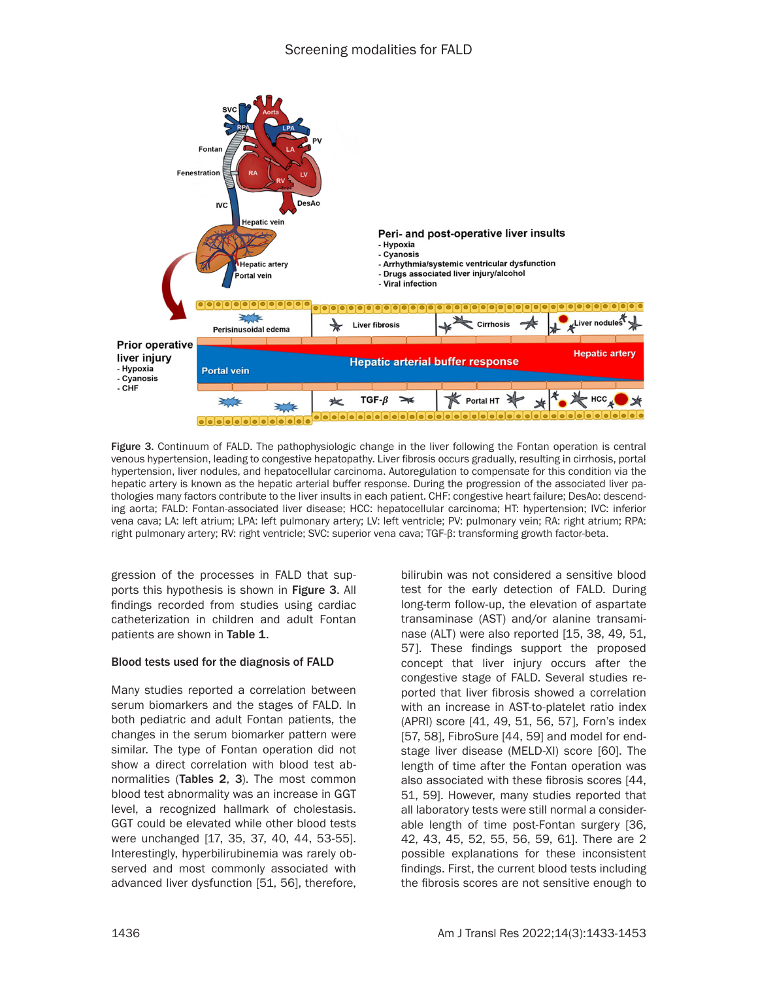

Figure 3. Continuum of FALD. The pathophysiologic change in the liver following the Fontan operation is central venous hypertension, leading to congestive hepatopathy. Liver fibrosis occurs gradually, resulting in cirrhosis, portal hypertension, liver nodules, and hepatocellular carcinoma. Autoregulation to compensate for this condition via the hepatic artery is known as the hepatic arterial buffer response. During the progression of the associated liver pathologies many factors contribute to the liver insults in each patient. CHF: congestive heart failure; DesAo: descending aorta; FALD: Fontan-associated liver disease; HCC: hepatocellular carcinoma; HT: hypertension; IVC: inferior vena cava; LA: left atrium; LPA: left pulmonary artery; LV: left ventricle; PV: pulmonary vein; RA: right atrium; RPA: right pulmonary artery; RV: right ventricle; SVC: superior vena cava; TGF-β: transforming growth factor-beta.

gression of the processes in FALD that supports this hypothesis is shown in Figure 3. All findings recorded from studies using cardiac catheterization in children and adult Fontan patients are shown in Table 1.

### Blood tests used for the diagnosis of FALD

Many studies reported a correlation between serum biomarkers and the stages of FALD. In both pediatric and adult Fontan patients, the changes in the serum biomarker pattern were similar. The type of Fontan operation did not show a direct correlation with blood test abnormalities (Tables 2, 3). The most common blood test abnormality was an increase in GGT level, a recognized hallmark of cholestasis. GGT could be elevated while other blood tests were unchanged [17, 35, 37, 40, 44, 53-55]. Interestingly, hyperbilirubinemia was rarely observed and most commonly associated with advanced liver dysfunction [51, 56], therefore,

bilirubin was not considered a sensitive blood test for the early detection of FALD. During long-term follow-up, the elevation of aspartate transaminase (AST) and/or alanine transaminase (ALT) were also reported [15, 38, 49, 51, 57]. These findings support the proposed concept that liver injury occurs after the congestive stage of FALD. Several studies reported that liver fibrosis showed a correlation with an increase in AST-to-platelet ratio index (APRI) score [41, 49, 51, 56, 57], Forn's index [57, 58], FibroSure [44, 59] and model for endstage liver disease (MELD-XI) score [60]. The length of time after the Fontan operation was also associated with these fibrosis scores [44, 51, 59]. However, many studies reported that all laboratory tests were still normal a considerable length of time post-Fontan surgery [36, 42, 43, 45, 52, 55, 56, 59, 61]. There are 2 possible explanations for these inconsistent findings. First, the current blood tests including the fibrosis scores are not sensitive enough to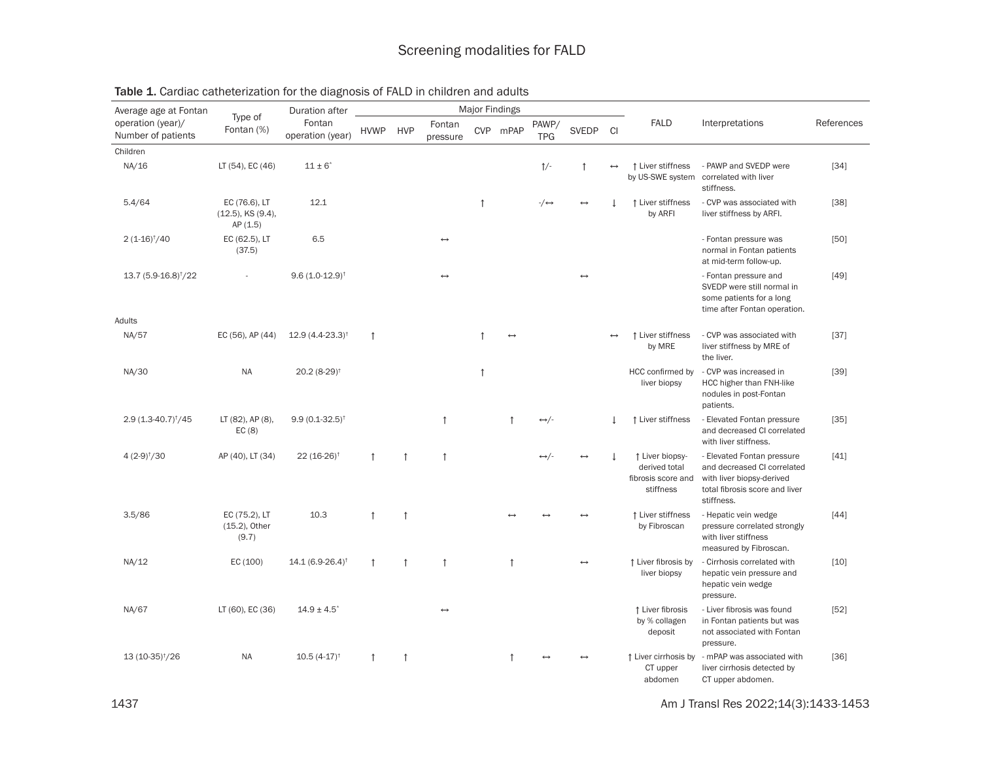| Average age at Fontan                   | Type of                                              | Duration after                |             |            |                       | <b>Major Findings</b> |                   |                      |                   |                   |                                                                     |                                                                                                                                        |            |
|-----------------------------------------|------------------------------------------------------|-------------------------------|-------------|------------|-----------------------|-----------------------|-------------------|----------------------|-------------------|-------------------|---------------------------------------------------------------------|----------------------------------------------------------------------------------------------------------------------------------------|------------|
| operation (year)/<br>Number of patients | Fontan (%)                                           | Fontan<br>operation (year)    | <b>HVWP</b> | <b>HVP</b> | Fontan<br>pressure    |                       | CVP mPAP          | PAWP/<br><b>TPG</b>  | <b>SVEDP</b>      | <b>CI</b>         | <b>FALD</b>                                                         | Interpretations                                                                                                                        | References |
| Children                                |                                                      |                               |             |            |                       |                       |                   |                      |                   |                   |                                                                     |                                                                                                                                        |            |
| NA/16                                   | LT (54), EC (46)                                     | $11 \pm 6^*$                  |             |            |                       |                       |                   | $\frac{1}{2}$        | $\mathbf{f}$      | $\leftrightarrow$ | ↑ Liver stiffness<br>by US-SWE system                               | - PAWP and SVEDP were<br>correlated with liver<br>stiffness.                                                                           | $[34]$     |
| 5.4/64                                  | EC (76.6), LT<br>$(12.5)$ , KS $(9.4)$ ,<br>AP (1.5) | 12.1                          |             |            |                       | $\uparrow$            |                   | $-\rightarrow$       | $\leftrightarrow$ |                   | ↑ Liver stiffness<br>by ARFI                                        | - CVP was associated with<br>liver stiffness by ARFI.                                                                                  | $[38]$     |
| $2(1-16)†/40$                           | EC (62.5), LT<br>(37.5)                              | 6.5                           |             |            | $\longleftrightarrow$ |                       |                   |                      |                   |                   |                                                                     | - Fontan pressure was<br>normal in Fontan patients<br>at mid-term follow-up.                                                           | $[50]$     |
| 13.7 (5.9-16.8) <sup>†</sup> /22        |                                                      | $9.6(1.0-12.9)$ <sup>†</sup>  |             |            |                       |                       |                   |                      | $\leftrightarrow$ |                   |                                                                     | - Fontan pressure and<br>SVEDP were still normal in<br>some patients for a long<br>time after Fontan operation.                        | $[49]$     |
| Adults                                  |                                                      |                               |             |            |                       |                       |                   |                      |                   |                   |                                                                     |                                                                                                                                        |            |
| NA/57                                   | EC (56), AP (44)                                     | $12.9(4.4-23.3)^{+}$          | $\uparrow$  |            |                       |                       | $\leftrightarrow$ |                      |                   |                   | ↑ Liver stiffness<br>by MRE                                         | - CVP was associated with<br>liver stiffness by MRE of<br>the liver.                                                                   | $[37]$     |
| NA/30                                   | <b>NA</b>                                            | $20.2(8-29)$ <sup>†</sup>     |             |            |                       | $\uparrow$            |                   |                      |                   |                   | HCC confirmed by<br>liver biopsy                                    | - CVP was increased in<br>HCC higher than FNH-like<br>nodules in post-Fontan<br>patients.                                              | $[39]$     |
| 2.9 (1.3-40.7) <sup>†</sup> /45         | LT (82), AP (8),<br>EC(8)                            | $9.9(0.1-32.5)^{+}$           |             |            | $\uparrow$            |                       | $\uparrow$        | $\leftrightarrow$ /- |                   |                   | ↑ Liver stiffness                                                   | - Elevated Fontan pressure<br>and decreased CI correlated<br>with liver stiffness.                                                     | $[35]$     |
| $4(2-9)†/30$                            | AP (40), LT (34)                                     | $22(16-26)^{\dagger}$         | $\uparrow$  |            | $\uparrow$            |                       |                   | $\leftrightarrow/-$  | $\leftrightarrow$ |                   | ↑ Liver biopsy-<br>derived total<br>fibrosis score and<br>stiffness | - Elevated Fontan pressure<br>and decreased CI correlated<br>with liver biopsy-derived<br>total fibrosis score and liver<br>stiffness. | $[41]$     |
| 3.5/86                                  | EC (75.2), LT<br>(15.2), Other<br>(9.7)              | 10.3                          | $\uparrow$  | $\uparrow$ |                       |                       |                   |                      |                   |                   | ↑ Liver stiffness<br>by Fibroscan                                   | - Hepatic vein wedge<br>pressure correlated strongly<br>with liver stiffness<br>measured by Fibroscan.                                 | $[44]$     |
| NA/12                                   | EC (100)                                             | $14.1(6.9-26.4)$ <sup>†</sup> | $\uparrow$  | $\uparrow$ | $\uparrow$            |                       | $\uparrow$        |                      | $\leftrightarrow$ |                   | ↑ Liver fibrosis by<br>liver biopsy                                 | - Cirrhosis correlated with<br>hepatic vein pressure and<br>hepatic vein wedge<br>pressure.                                            | $[10]$     |
| NA/67                                   | LT (60), EC (36)                                     | $14.9 \pm 4.5$ <sup>*</sup>   |             |            | $\longleftrightarrow$ |                       |                   |                      |                   |                   | ↑ Liver fibrosis<br>by % collagen<br>deposit                        | - Liver fibrosis was found<br>in Fontan patients but was<br>not associated with Fontan<br>pressure.                                    | $[52]$     |
| 13 (10-35) <sup>†</sup> /26             | <b>NA</b>                                            | $10.5(4-17)^{+}$              | $\uparrow$  |            |                       |                       |                   |                      |                   |                   | ↑ Liver cirrhosis by<br>CT upper<br>abdomen                         | - mPAP was associated with<br>liver cirrhosis detected by<br>CT upper abdomen.                                                         | $[36]$     |

Table 1. Cardiac catheterization for the diagnosis of FALD in children and adults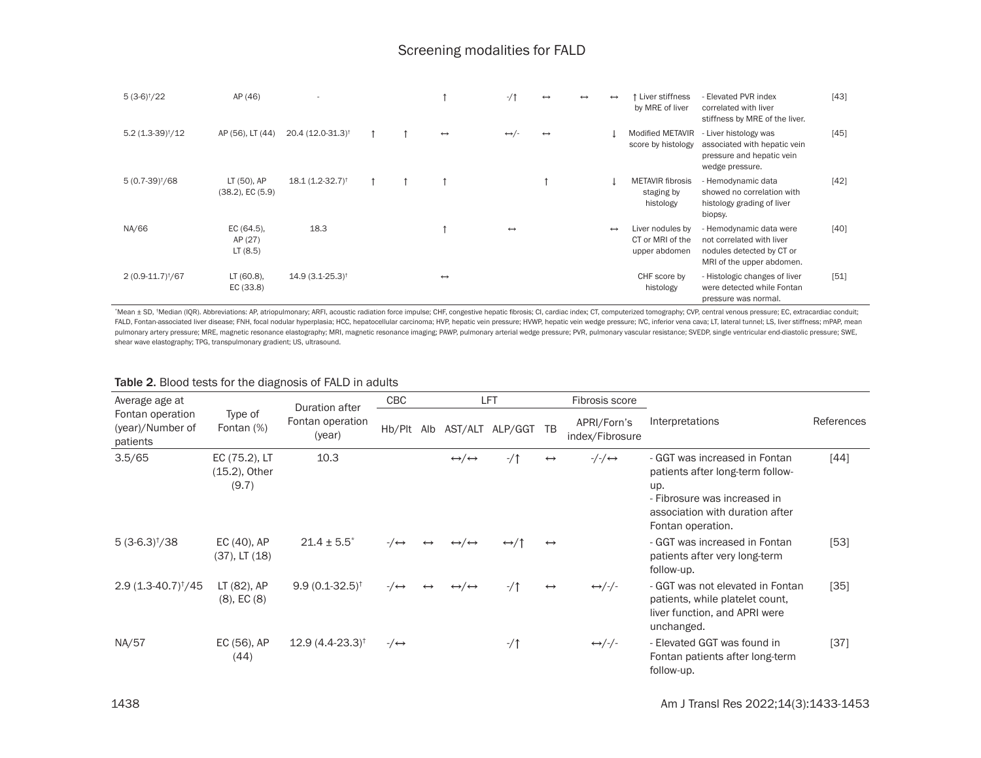| $5(3-6)†/22$                  | AP (46)                              | ٠                             |  |                   | $-1$                  | $\leftrightarrow$ | $\leftrightarrow$ | $\leftrightarrow$ | Liver stiffness<br>by MRE of liver                    | - Elevated PVR index<br>correlated with liver<br>stiffness by MRE of the liver.                                | $[43]$ |
|-------------------------------|--------------------------------------|-------------------------------|--|-------------------|-----------------------|-------------------|-------------------|-------------------|-------------------------------------------------------|----------------------------------------------------------------------------------------------------------------|--------|
| $5.2(1.3-39)†/12$             | AP (56), LT (44)                     | 20.4 (12.0-31.3) <sup>†</sup> |  | $\leftrightarrow$ | $\leftrightarrow/-$   | $\leftrightarrow$ |                   |                   | <b>Modified METAVIR</b><br>score by histology         | - Liver histology was<br>associated with hepatic vein<br>pressure and hepatic vein<br>wedge pressure.          | $[45]$ |
| $5(0.7-39)†/68$               | LT (50), AP<br>$(38.2)$ , EC $(5.9)$ | $18.1 (1.2 - 32.7)^+$         |  |                   |                       |                   |                   |                   | <b>METAVIR fibrosis</b><br>staging by<br>histology    | - Hemodynamic data<br>showed no correlation with<br>histology grading of liver<br>biopsy.                      | [42]   |
| NA/66                         | EC (64.5),<br>AP (27)<br>LT(8.5)     | 18.3                          |  |                   | $\longleftrightarrow$ |                   |                   | $\leftrightarrow$ | Liver nodules by<br>CT or MRI of the<br>upper abdomen | - Hemodynamic data were<br>not correlated with liver<br>nodules detected by CT or<br>MRI of the upper abdomen. | [40]   |
| 2 (0.9-11.7) <sup>†</sup> /67 | LT (60.8),<br>EC (33.8)              | $14.9(3.1 - 25.3)^{+}$        |  | $\leftrightarrow$ |                       |                   |                   |                   | CHF score by<br>histology                             | - Histologic changes of liver<br>were detected while Fontan<br>pressure was normal.                            | [51]   |

\*Mean ± SD, \*Median (IQR). Abbreviations: AP, atriopulmonary; ARFI, acoustic radiation force impulse; CHF, congestive hepatic fibrosis; CI, cardiac index; CT, computerized tomography; CVP, central venous pressure; EC, extr FALD, Fontan-associated liver disease; FNH, focal nodular hyperplasia; HCC, hepatocellular carcinoma; HVP, hepatic vein pressure; HVWP, hepatic vein wedge pressure; IVC, inferior vena cava; LT, lateral tunnel; LS, liver st pulmonary artery pressure; MRE, magnetic resonance elastography; MRI, magnetic resonance imaging; PAWP, pulmonary arterial wedge pressure; PVR, pulmonary vascular resistance; SVEDP, single ventricular end-diastolic pressur shear wave elastography; TPG, transpulmonary gradient; US, ultrasound.

#### Table 2. Blood tests for the diagnosis of FALD in adults

| Average age at                                   |                                            | <b>Duration after</b>         | CBC            |                   |                                       | LFT                  |                   | Fibrosis score                        |                                                                                                                                                                  |            |
|--------------------------------------------------|--------------------------------------------|-------------------------------|----------------|-------------------|---------------------------------------|----------------------|-------------------|---------------------------------------|------------------------------------------------------------------------------------------------------------------------------------------------------------------|------------|
| Fontan operation<br>(year)/Number of<br>patients | Type of<br>Fontan (%)                      | Fontan operation<br>(year)    | Hb/Plt Alb     |                   |                                       | AST/ALT ALP/GGT TB   |                   | APRI/Forn's<br>index/Fibrosure        | Interpretations                                                                                                                                                  | References |
| 3.5/65                                           | EC (75.2), LT<br>$(15.2)$ , Other<br>(9.7) | 10.3                          |                |                   | $\leftrightarrow/\leftrightarrow$     | $-1$                 | $\leftrightarrow$ | $-\frac{1}{\sqrt{2}} \leftrightarrow$ | - GGT was increased in Fontan<br>patients after long-term follow-<br>up.<br>- Fibrosure was increased in<br>association with duration after<br>Fontan operation. | $[44]$     |
| $5(3-6.3)†/38$                                   | $EC(40)$ , AP<br>$(37)$ , LT $(18)$        | $21.4 \pm 5.5^*$              | $-\rightarrow$ | $\leftrightarrow$ | $\leftrightarrow$ / $\leftrightarrow$ | $\leftrightarrow$ /↑ | $\leftrightarrow$ |                                       | - GGT was increased in Fontan<br>patients after very long-term<br>follow-up.                                                                                     | $[53]$     |
| $2.9(1.3-40.7)^{\dagger}/45$                     | LT (82), AP<br>$(8)$ , EC $(8)$            | $9.9(0.1-32.5)^{\dagger}$     | $-\rightarrow$ | $\leftrightarrow$ | $\leftrightarrow/\leftrightarrow$     | $-1$                 | $\leftrightarrow$ | $\leftrightarrow$ /-/-                | - GGT was not elevated in Fontan<br>patients, while platelet count,<br>liver function, and APRI were<br>unchanged.                                               | $[35]$     |
| NA/57                                            | EC (56), AP<br>(44)                        | $12.9(4.4-23.3)$ <sup>†</sup> | $-\rightarrow$ |                   |                                       | $-1$                 |                   | $\leftrightarrow$ /-/-                | - Elevated GGT was found in<br>Fontan patients after long-term<br>follow-up.                                                                                     | $[37]$     |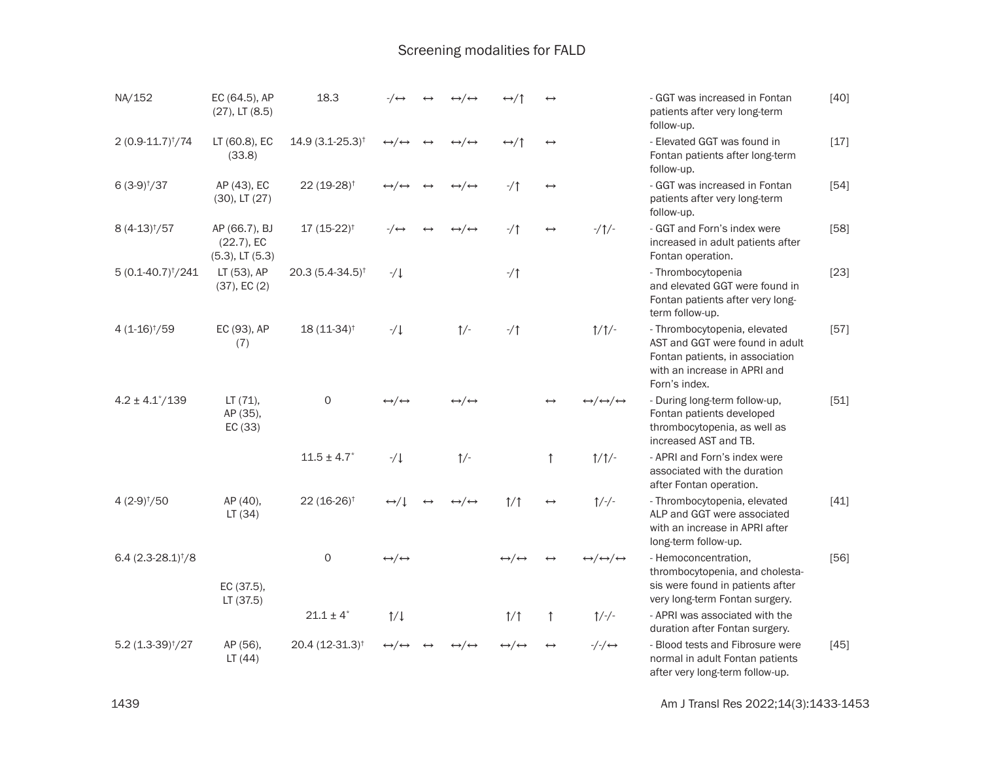| NA/152                       | EC (64.5), AP<br>$(27)$ , LT $(8.5)$                   | 18.3                         | -∕ ↔                              | $\leftrightarrow/\leftrightarrow$ | ↔⁄↑                               |                       |                                                       | - GGT was increased in Fontan<br>patients after very long-term<br>follow-up.                                                                        | $[40]$ |
|------------------------------|--------------------------------------------------------|------------------------------|-----------------------------------|-----------------------------------|-----------------------------------|-----------------------|-------------------------------------------------------|-----------------------------------------------------------------------------------------------------------------------------------------------------|--------|
| $2(0.9 - 11.7)^{\dagger}/74$ | LT (60.8), EC<br>(33.8)                                | $14.9(3.1 - 25.3)^{\dagger}$ | $\leftrightarrow/\leftrightarrow$ | $\leftrightarrow/\leftrightarrow$ | $\leftrightarrow$ /1              | $\leftrightarrow$     |                                                       | - Elevated GGT was found in<br>Fontan patients after long-term<br>follow-up.                                                                        | $[17]$ |
| $6(3-9)†/37$                 | AP (43), EC<br>$(30)$ , LT $(27)$                      | 22 (19-28) <sup>†</sup>      | $\leftrightarrow/\leftrightarrow$ | $\leftrightarrow/\leftrightarrow$ | $-1$                              | $\longleftrightarrow$ |                                                       | - GGT was increased in Fontan<br>patients after very long-term<br>follow-up.                                                                        | $[54]$ |
| $8(4-13)†/57$                | AP (66.7), BJ<br>$(22.7)$ , EC<br>$(5.3)$ , LT $(5.3)$ | $17(15-22)^{+}$              | $-\rightarrow$                    | $\leftrightarrow/\leftrightarrow$ | $-1$                              | $\leftrightarrow$     | $-1$ $\uparrow$                                       | - GGT and Forn's index were<br>increased in adult patients after<br>Fontan operation.                                                               | $[58]$ |
| $5(0.1-40.7)^{\dagger}/241$  | LT (53), AP<br>$(37)$ , EC $(2)$                       | $20.3(5.4 - 34.5)^{\dagger}$ | $-/\downarrow$                    |                                   | $-1$                              |                       |                                                       | - Thrombocytopenia<br>and elevated GGT were found in<br>Fontan patients after very long-<br>term follow-up.                                         | $[23]$ |
| $4(1-16)^{t}/59$             | EC (93), AP<br>(7)                                     | $18(11-34)^{+}$              | $-1$                              | $\uparrow$ /-                     | $-1$                              |                       | $\frac{1}{\sqrt{2}}$                                  | - Thrombocytopenia, elevated<br>AST and GGT were found in adult<br>Fontan patients, in association<br>with an increase in APRI and<br>Forn's index. | $[57]$ |
| $4.2 \pm 4.1^{\circ}/139$    | LT (71),<br>AP (35),<br>EC (33)                        | 0                            | $\leftrightarrow/\leftrightarrow$ | $\leftrightarrow/\leftrightarrow$ |                                   |                       | $\leftrightarrow/\leftrightarrow/\leftrightarrow$     | - During long-term follow-up,<br>Fontan patients developed<br>thrombocytopenia, as well as<br>increased AST and TB.                                 | $[51]$ |
|                              |                                                        | $11.5 \pm 4.7$               | $-/\downarrow$                    | $\uparrow$ /-                     |                                   | $\uparrow$            | $\frac{1}{\sqrt{2}}$                                  | - APRI and Forn's index were<br>associated with the duration<br>after Fontan operation.                                                             |        |
| $4(2-9)†/50$                 | AP (40),<br>LT(34)                                     | $22(16-26)^+$                | $\leftrightarrow$ / $\downarrow$  | $\leftrightarrow/\leftrightarrow$ | 1/1                               | $\leftrightarrow$     | $1/-/$ -                                              | - Thrombocytopenia, elevated<br>ALP and GGT were associated<br>with an increase in APRI after<br>long-term follow-up.                               | $[41]$ |
| $6.4(2.3-28.1)^{\dagger}/8$  | EC (37.5),<br>LT(37.5)                                 | $\circ$                      | $\leftrightarrow/\leftrightarrow$ |                                   | $\leftrightarrow/\leftrightarrow$ |                       | $\leftrightarrow/\!\leftrightarrow\!/\leftrightarrow$ | - Hemoconcentration.<br>thrombocytopenia, and cholesta-<br>sis were found in patients after<br>very long-term Fontan surgery.                       | $[56]$ |
|                              |                                                        | $21.1 \pm 4^*$               | $\frac{1}{\sqrt{2}}$              |                                   | 1/1                               | $\uparrow$            | $1/-/$ -                                              | - APRI was associated with the<br>duration after Fontan surgery.                                                                                    |        |
| $5.2 (1.3-39)†/27$           | AP (56),<br>LT(44)                                     | $20.4(12-31.3)^{\dagger}$    | $\leftrightarrow/\leftrightarrow$ | $\leftrightarrow/\leftrightarrow$ | $\leftrightarrow/\leftrightarrow$ | $\leftrightarrow$     | $-\frac{1}{2}$ $\leftrightarrow$                      | - Blood tests and Fibrosure were<br>normal in adult Fontan patients<br>after very long-term follow-up.                                              | $[45]$ |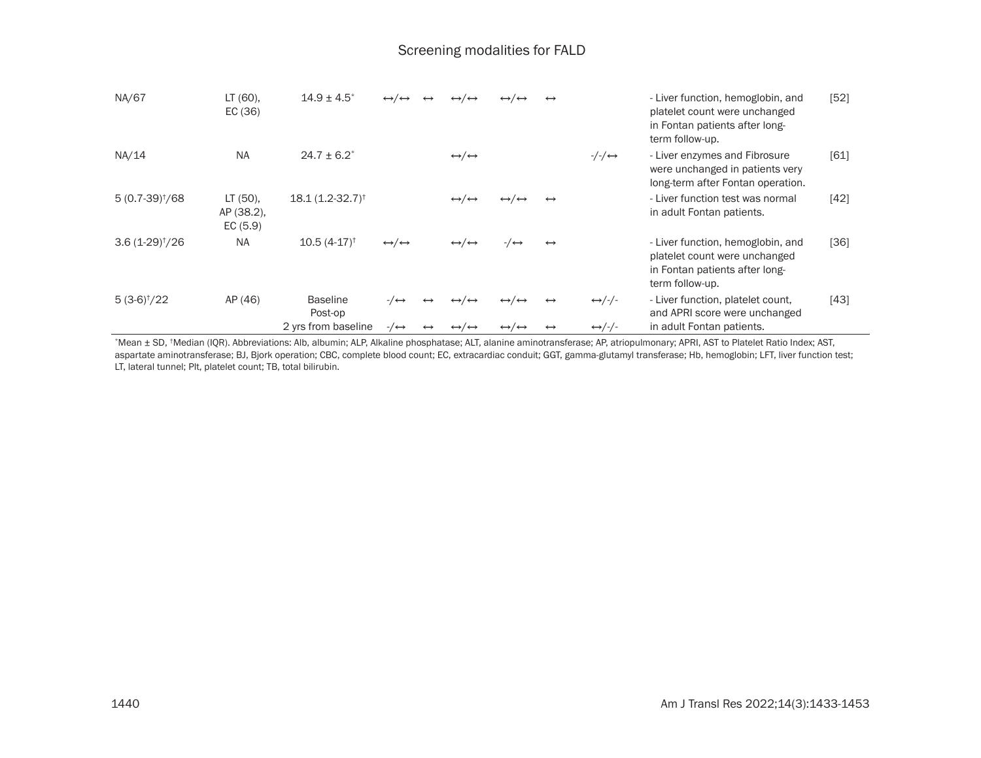| NA/67                    | LT (60),<br>EC $(36)$             | $14.9 \pm 4.5$ <sup>*</sup> | $\leftrightarrow/\leftrightarrow$ |                   | $\leftrightarrow/\leftrightarrow$     | $\leftrightarrow/\leftrightarrow$     | $\leftrightarrow$ |                                       | - Liver function, hemoglobin, and<br>platelet count were unchanged<br>in Fontan patients after long-<br>term follow-up. | $[52]$ |
|--------------------------|-----------------------------------|-----------------------------|-----------------------------------|-------------------|---------------------------------------|---------------------------------------|-------------------|---------------------------------------|-------------------------------------------------------------------------------------------------------------------------|--------|
| NA/14                    | <b>NA</b>                         | $24.7 \pm 6.2^*$            |                                   |                   | $\leftrightarrow/\leftrightarrow$     |                                       |                   | $-\frac{1}{\sqrt{2}} \leftrightarrow$ | - Liver enzymes and Fibrosure<br>were unchanged in patients very<br>long-term after Fontan operation.                   | [61]   |
| $5(0.7-39)^{\dagger}/68$ | LT (50),<br>AP (38.2),<br>EC(5.9) | $18.1 (1.2 - 32.7)^+$       |                                   |                   | $\leftrightarrow/\leftrightarrow$     | $\leftrightarrow$ / $\leftrightarrow$ | $\leftrightarrow$ |                                       | - Liver function test was normal<br>in adult Fontan patients.                                                           | [42]   |
| $3.6(1-29)†/26$          | <b>NA</b>                         | $10.5(4-17)^{+}$            | $\leftrightarrow/\leftrightarrow$ |                   | $\leftrightarrow/\leftrightarrow$     | $-\rightarrow$                        | $\leftrightarrow$ |                                       | - Liver function, hemoglobin, and<br>platelet count were unchanged<br>in Fontan patients after long-<br>term follow-up. | [36]   |
| $5(3-6)†/22$             | AP (46)                           | <b>Baseline</b><br>Post-op  | $-\rightarrow$                    | $\leftrightarrow$ | $\leftrightarrow$ / $\leftrightarrow$ | $\leftrightarrow$ / $\leftrightarrow$ | $\leftrightarrow$ | $\leftrightarrow$ /-/-                | - Liver function, platelet count,<br>and APRI score were unchanged                                                      | [43]   |
|                          |                                   | 2 yrs from baseline         | $-\rightarrow$                    | $\leftrightarrow$ | $\leftrightarrow/\leftrightarrow$     | $\leftrightarrow/\leftrightarrow$     | $\leftrightarrow$ | $\leftrightarrow$ /-/-                | in adult Fontan patients.                                                                                               |        |

\*Mean ± SD, †Median (IQR). Abbreviations: Alb, albumin; ALP, Alkaline phosphatase; ALT, alanine aminotransferase; AP, atriopulmonary; APRI, AST to Platelet Ratio Index; AST, aspartate aminotransferase; BJ, Bjork operation; CBC, complete blood count; EC, extracardiac conduit; GGT, gamma-glutamyl transferase; Hb, hemoglobin; LFT, liver function test; LT, lateral tunnel; Plt, platelet count; TB, total bilirubin.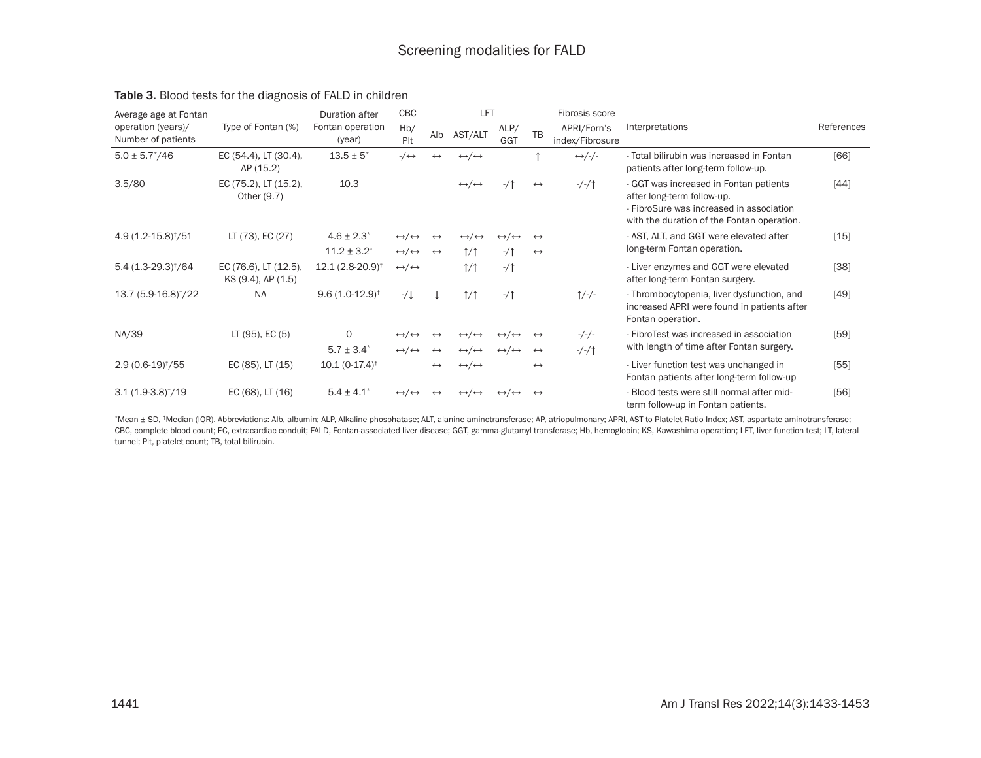| Average age at Fontan                    |                                             | Duration after                | CBC                                    |                   | LFT                                   |                                   |                   | Fibrosis score                 |                                                                                                                                                                |            |
|------------------------------------------|---------------------------------------------|-------------------------------|----------------------------------------|-------------------|---------------------------------------|-----------------------------------|-------------------|--------------------------------|----------------------------------------------------------------------------------------------------------------------------------------------------------------|------------|
| operation (years)/<br>Number of patients | Type of Fontan (%)                          | Fontan operation<br>(year)    | Hb/<br>Plt                             | Alb               | AST/ALT                               | ALP/<br>GGT                       | <b>TB</b>         | APRI/Forn's<br>index/Fibrosure | Interpretations                                                                                                                                                | References |
| $5.0 \pm 5.7^*/46$                       | EC (54.4), LT (30.4),<br>AP (15.2)          | $13.5 \pm 5^*$                | $-/\leftrightarrow$                    |                   | $\leftrightarrow/\leftrightarrow$     |                                   |                   | $\leftrightarrow$ /-/-         | - Total bilirubin was increased in Fontan<br>patients after long-term follow-up.                                                                               | [66]       |
| 3.5/80                                   | EC (75.2), LT (15.2),<br>Other (9.7)        | 10.3                          |                                        |                   | $\leftrightarrow/\leftrightarrow$     | $-1$                              | $\leftrightarrow$ | $-/-/1$                        | - GGT was increased in Fontan patients<br>after long-term follow-up.<br>- FibroSure was increased in association<br>with the duration of the Fontan operation. | $[44]$     |
| $4.9(1.2 - 15.8)^{\dagger}/51$           | LT (73), EC (27)                            | $4.6 \pm 2.3$ <sup>*</sup>    | $\leftrightarrow/\leftrightarrow$      |                   | $\leftrightarrow/\leftrightarrow$     |                                   | $\leftrightarrow$ |                                | - AST, ALT, and GGT were elevated after                                                                                                                        | $[15]$     |
|                                          |                                             | $11.2 \pm 3.2^*$              | $\leftrightarrow/\leftrightarrow$      | $\leftrightarrow$ | 1/1                                   | $-1$                              | $\leftrightarrow$ |                                | long-term Fontan operation.                                                                                                                                    |            |
| $5.4(1.3-29.3)†/64$                      | EC (76.6), LT (12.5),<br>KS (9.4), AP (1.5) | $12.1(2.8-20.9)$ <sup>†</sup> | $\leftrightarrow/\leftrightarrow$      |                   | 1/1                                   | $-1$                              |                   |                                | - Liver enzymes and GGT were elevated<br>after long-term Fontan surgery.                                                                                       | [38]       |
| 13.7 (5.9-16.8) <sup>†</sup> /22         | <b>NA</b>                                   | $9.6(1.0-12.9)^{\dagger}$     | $-1$                                   |                   | 1/1                                   | $-1$                              |                   | $1/-/$ -                       | - Thrombocytopenia, liver dysfunction, and<br>increased APRI were found in patients after<br>Fontan operation.                                                 | [49]       |
| NA/39                                    | LT (95), EC (5)                             | 0                             | $\leftrightarrow$<br>$\leftrightarrow$ |                   | $\leftrightarrow$                     |                                   | $\leftrightarrow$ | $-/-/-$                        | - FibroTest was increased in association                                                                                                                       | $[59]$     |
|                                          |                                             | $5.7 \pm 3.4^*$               | $\leftrightarrow/\leftrightarrow$      | $\leftrightarrow$ | $\leftrightarrow/\leftrightarrow$     | $\leftrightarrow/\leftrightarrow$ | $\leftrightarrow$ | $-/-/1$                        | with length of time after Fontan surgery.                                                                                                                      |            |
| $2.9(0.6-19)†/55$                        | EC (85), LT (15)                            | $10.1(0-17.4)$ <sup>†</sup>   |                                        |                   | $\leftrightarrow/\leftrightarrow$     |                                   | $\leftrightarrow$ |                                | - Liver function test was unchanged in<br>Fontan patients after long-term follow-up                                                                            | $[55]$     |
| $3.1(1.9-3.8)†/19$                       | EC (68), LT (16)                            | $5.4 \pm 4.1$                 | $\leftrightarrow$                      |                   | $\leftrightarrow$ / $\leftrightarrow$ |                                   | $\leftrightarrow$ |                                | - Blood tests were still normal after mid-<br>term follow-up in Fontan patients.                                                                               | [56]       |

#### Table 3. Blood tests for the diagnosis of FALD in children

\*Mean ± SD, †Median (IQR). Abbreviations: Alb, albumin; ALP, Alkaline phosphatase; ALT, alanine aminotransferase; AP, atriopulmonary; APRI, AST to Platelet Ratio Index; AST, aspartate aminotransferase; CBC, complete blood count; EC, extracardiac conduit; FALD, Fontan-associated liver disease; GGT, gamma-glutamyl transferase; Hb, hemoglobin; KS, Kawashima operation; LFT, liver function test; LT, lateral tunnel; Plt, platelet count; TB, total bilirubin.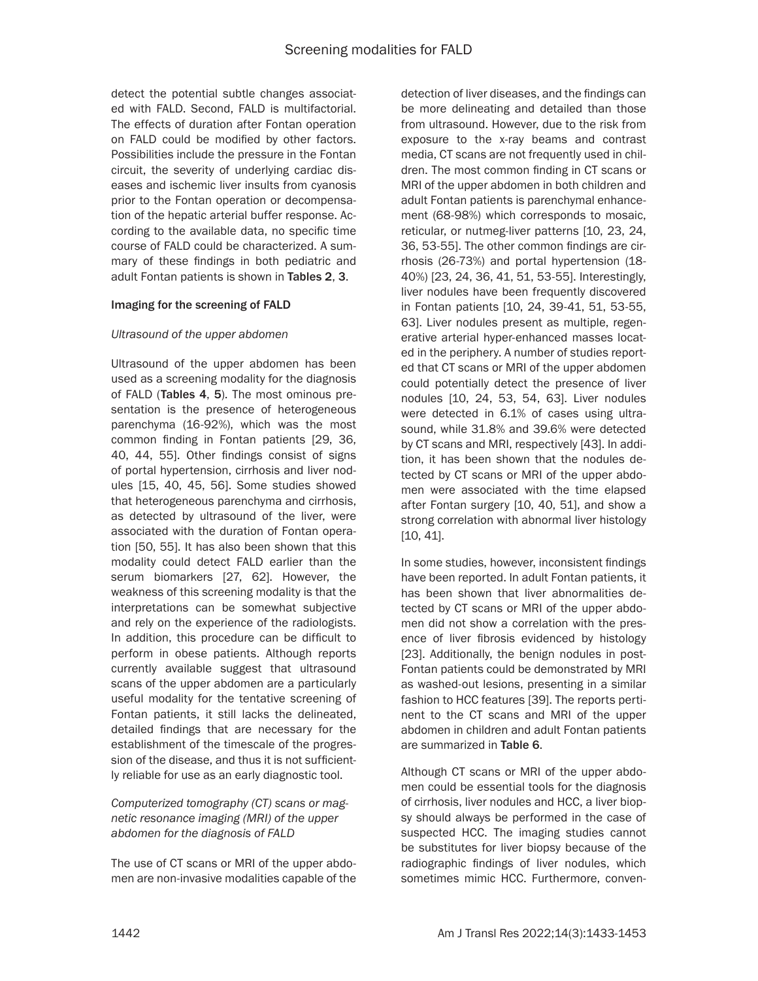detect the potential subtle changes associated with FALD. Second, FALD is multifactorial. The effects of duration after Fontan operation on FALD could be modified by other factors. Possibilities include the pressure in the Fontan circuit, the severity of underlying cardiac diseases and ischemic liver insults from cyanosis prior to the Fontan operation or decompensation of the hepatic arterial buffer response. According to the available data, no specific time course of FALD could be characterized. A summary of these findings in both pediatric and adult Fontan patients is shown in Tables 2, 3.

### Imaging for the screening of FALD

### *Ultrasound of the upper abdomen*

Ultrasound of the upper abdomen has been used as a screening modality for the diagnosis of FALD (Tables 4, 5). The most ominous presentation is the presence of heterogeneous parenchyma (16-92%), which was the most common finding in Fontan patients [29, 36, 40, 44, 55]. Other findings consist of signs of portal hypertension, cirrhosis and liver nodules [15, 40, 45, 56]. Some studies showed that heterogeneous parenchyma and cirrhosis, as detected by ultrasound of the liver, were associated with the duration of Fontan operation [50, 55]. It has also been shown that this modality could detect FALD earlier than the serum biomarkers [27, 62]. However, the weakness of this screening modality is that the interpretations can be somewhat subjective and rely on the experience of the radiologists. In addition, this procedure can be difficult to perform in obese patients. Although reports currently available suggest that ultrasound scans of the upper abdomen are a particularly useful modality for the tentative screening of Fontan patients, it still lacks the delineated, detailed findings that are necessary for the establishment of the timescale of the progression of the disease, and thus it is not sufficiently reliable for use as an early diagnostic tool.

## *Computerized tomography (CT) scans or magnetic resonance imaging (MRI) of the upper abdomen for the diagnosis of FALD*

The use of CT scans or MRI of the upper abdomen are non-invasive modalities capable of the detection of liver diseases, and the findings can be more delineating and detailed than those from ultrasound. However, due to the risk from exposure to the x-ray beams and contrast media, CT scans are not frequently used in children. The most common finding in CT scans or MRI of the upper abdomen in both children and adult Fontan patients is parenchymal enhancement (68-98%) which corresponds to mosaic, reticular, or nutmeg-liver patterns [10, 23, 24, 36, 53-55]. The other common findings are cirrhosis (26-73%) and portal hypertension (18- 40%) [23, 24, 36, 41, 51, 53-55]. Interestingly, liver nodules have been frequently discovered in Fontan patients [10, 24, 39-41, 51, 53-55, 63]. Liver nodules present as multiple, regenerative arterial hyper-enhanced masses located in the periphery. A number of studies reported that CT scans or MRI of the upper abdomen could potentially detect the presence of liver nodules [10, 24, 53, 54, 63]. Liver nodules were detected in 6.1% of cases using ultrasound, while 31.8% and 39.6% were detected by CT scans and MRI, respectively [43]. In addition, it has been shown that the nodules detected by CT scans or MRI of the upper abdomen were associated with the time elapsed after Fontan surgery [10, 40, 51], and show a strong correlation with abnormal liver histology [10, 41].

In some studies, however, inconsistent findings have been reported. In adult Fontan patients, it has been shown that liver abnormalities detected by CT scans or MRI of the upper abdomen did not show a correlation with the presence of liver fibrosis evidenced by histology [23]. Additionally, the benign nodules in post-Fontan patients could be demonstrated by MRI as washed-out lesions, presenting in a similar fashion to HCC features [39]. The reports pertinent to the CT scans and MRI of the upper abdomen in children and adult Fontan patients are summarized in Table 6.

Although CT scans or MRI of the upper abdomen could be essential tools for the diagnosis of cirrhosis, liver nodules and HCC, a liver biopsy should always be performed in the case of suspected HCC. The imaging studies cannot be substitutes for liver biopsy because of the radiographic findings of liver nodules, which sometimes mimic HCC. Furthermore, conven-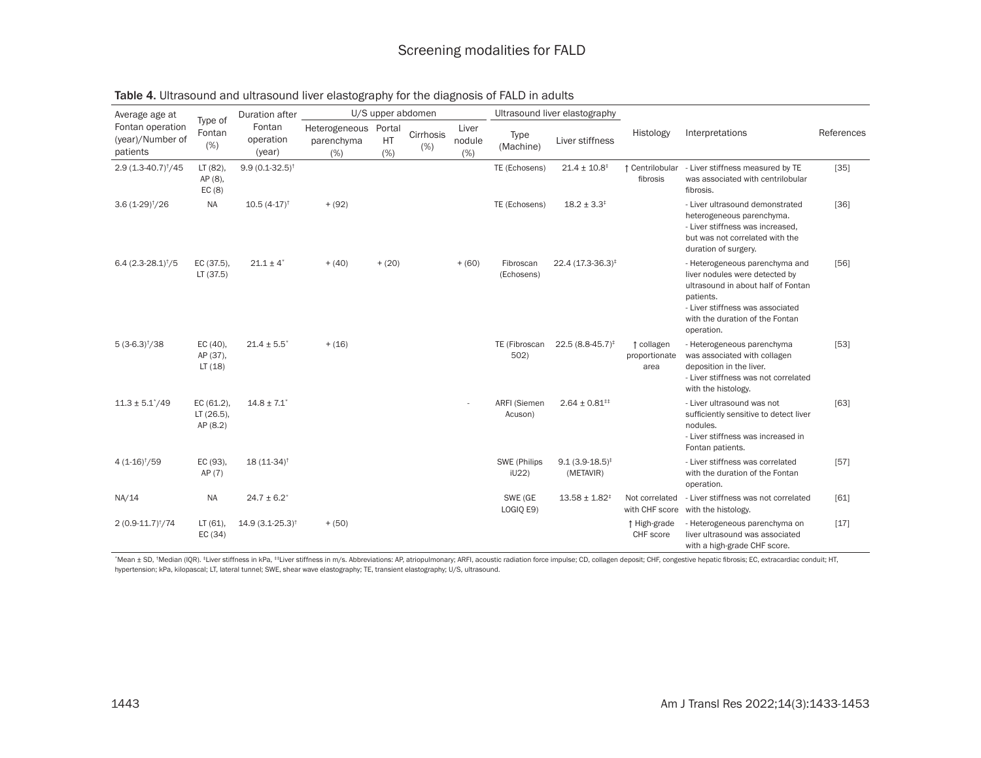| Average age at                                   | Type of                              | Duration after                |                                           | U/S upper abdomen |                     |                        |                         | Ultrasound liver elastography    |                                     |                                                                                                                                                                                                          |            |
|--------------------------------------------------|--------------------------------------|-------------------------------|-------------------------------------------|-------------------|---------------------|------------------------|-------------------------|----------------------------------|-------------------------------------|----------------------------------------------------------------------------------------------------------------------------------------------------------------------------------------------------------|------------|
| Fontan operation<br>(year)/Number of<br>patients | Fontan<br>(%)                        | Fontan<br>operation<br>(year) | Heterogeneous Portal<br>parenchyma<br>(%) | HT<br>(%)         | Cirrhosis<br>$(\%)$ | Liver<br>nodule<br>(%) | Type<br>(Machine)       | Liver stiffness                  | Histology                           | Interpretations                                                                                                                                                                                          | References |
| 2.9 (1.3-40.7) <sup>†</sup> /45                  | LT (82),<br>AP (8),<br>EC(8)         | $9.9(0.1-32.5)^{\dagger}$     |                                           |                   |                     |                        | TE (Echosens)           | $21.4 \pm 10.8^{\ddagger}$       | ↑ Centrilobular<br>fibrosis         | - Liver stiffness measured by TE<br>was associated with centrilobular<br>fibrosis.                                                                                                                       | $[35]$     |
| $3.6(1-29)†/26$                                  | <b>NA</b>                            | $10.5(4-17)^{+}$              | $+ (92)$                                  |                   |                     |                        | TE (Echosens)           | $18.2 \pm 3.3^{\ddagger}$        |                                     | - Liver ultrasound demonstrated<br>heterogeneous parenchyma.<br>- Liver stiffness was increased.<br>but was not correlated with the<br>duration of surgery.                                              | $[36]$     |
| $6.4(2.3-28.1)†/5$                               | EC (37.5),<br>LT(37.5)               | $21.1 \pm 4^*$                | $+ (40)$                                  | $+ (20)$          |                     | $+ (60)$               | Fibroscan<br>(Echosens) | 22.4 (17.3-36.3) <sup>‡</sup>    |                                     | - Heterogeneous parenchyma and<br>liver nodules were detected by<br>ultrasound in about half of Fontan<br>patients.<br>- Liver stiffness was associated<br>with the duration of the Fontan<br>operation. | [56]       |
| $5(3-6.3)†/38$                                   | EC (40),<br>AP (37),<br>LT(18)       | $21.4 \pm 5.5^*$              | $+ (16)$                                  |                   |                     |                        | TE (Fibroscan<br>502)   | 22.5 (8.8-45.7) <sup>‡</sup>     | t collagen<br>proportionate<br>area | - Heterogeneous parenchyma<br>was associated with collagen<br>deposition in the liver.<br>- Liver stiffness was not correlated<br>with the histology.                                                    | $[53]$     |
| $11.3 \pm 5.1^*/49$                              | EC (61.2),<br>LT (26.5),<br>AP (8.2) | $14.8 \pm 7.1$ <sup>*</sup>   |                                           |                   |                     |                        | ARFI (Siemen<br>Acuson) | $2.64 \pm 0.81^{**}$             |                                     | - Liver ultrasound was not<br>sufficiently sensitive to detect liver<br>nodules.<br>- Liver stiffness was increased in<br>Fontan patients.                                                               | $[63]$     |
| $4(1-16)^{+}/59$                                 | EC (93),<br>AP (7)                   | $18(11-34)$ <sup>†</sup>      |                                           |                   |                     |                        | SWE (Philips<br>iU22)   | $9.1(3.9-18.5)^{*}$<br>(METAVIR) |                                     | - Liver stiffness was correlated<br>with the duration of the Fontan<br>operation.                                                                                                                        | $[57]$     |
| NA/14                                            | <b>NA</b>                            | $24.7 \pm 6.2$ <sup>*</sup>   |                                           |                   |                     |                        | SWE (GE<br>LOGIQ E9)    | $13.58 \pm 1.82^{\ddagger}$      | Not correlated<br>with CHF score    | - Liver stiffness was not correlated<br>with the histology.                                                                                                                                              | [61]       |
| $2(0.9 - 11.7)^{\dagger}/74$                     | $LT(61)$ ,<br>EC(34)                 | $14.9(3.1 - 25.3)^{+}$        | $+ (50)$                                  |                   |                     |                        |                         |                                  | ↑ High-grade<br>CHF score           | - Heterogeneous parenchyma on<br>liver ultrasound was associated<br>with a high-grade CHF score.                                                                                                         | $[17]$     |

\*Mean ± SD, \*Median (IQR). \*Liver stiffness in kPa, \*\*Liver stiffness in m/s. Abbreviations: AP, atriopulmonary; ARFI, acoustic radiation force impulse; CD, collagen deposit; CHF, congestive hepatic fibrosis; EC, extracard hypertension; kPa, kilopascal; LT, lateral tunnel; SWE, shear wave elastography; TE, transient elastography; U/S, ultrasound.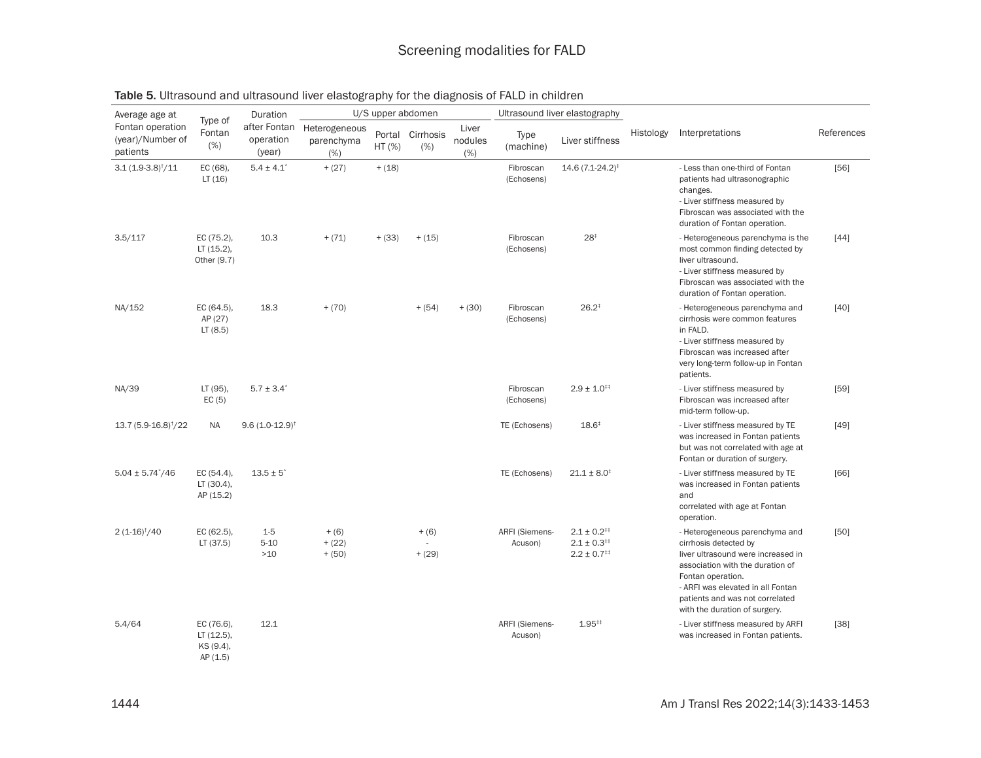| Average age at                                   |                                                 | Duration                            |                                     |          | U/S upper abdomen        |                          |                                  | Ultrasound liver elastography                                  |           |                                                                                                                                                                                                                                                                 |            |
|--------------------------------------------------|-------------------------------------------------|-------------------------------------|-------------------------------------|----------|--------------------------|--------------------------|----------------------------------|----------------------------------------------------------------|-----------|-----------------------------------------------------------------------------------------------------------------------------------------------------------------------------------------------------------------------------------------------------------------|------------|
| Fontan operation<br>(year)/Number of<br>patients | Type of<br>Fontan<br>(%)                        | after Fontan<br>operation<br>(year) | Heterogeneous<br>parenchyma<br>(% ) | $HT$ (%) | Portal Cirrhosis<br>(% ) | Liver<br>nodules<br>(% ) | Type<br>(machine)                | Liver stiffness                                                | Histology | Interpretations                                                                                                                                                                                                                                                 | References |
| $3.1(1.9-3.8)†/11$                               | EC (68),<br>LT(16)                              | $5.4 \pm 4.1$ <sup>*</sup>          | $+ (27)$                            | $+ (18)$ |                          |                          | Fibroscan<br>(Echosens)          | 14.6 (7.1-24.2) <sup>‡</sup>                                   |           | - Less than one-third of Fontan<br>patients had ultrasonographic<br>changes.<br>- Liver stiffness measured by<br>Fibroscan was associated with the<br>duration of Fontan operation.                                                                             | $[56]$     |
| 3.5/117                                          | EC (75.2),<br>$LT(15.2)$ ,<br>Other (9.7)       | 10.3                                | $+ (71)$                            | $+ (33)$ | $+ (15)$                 |                          | Fibroscan<br>(Echosens)          | 28 <sup>‡</sup>                                                |           | - Heterogeneous parenchyma is the<br>most common finding detected by<br>liver ultrasound.<br>- Liver stiffness measured by<br>Fibroscan was associated with the<br>duration of Fontan operation.                                                                | $[44]$     |
| NA/152                                           | EC (64.5),<br>AP (27)<br>LT(8.5)                | 18.3                                | $+ (70)$                            |          | $+ (54)$                 | $+ (30)$                 | Fibroscan<br>(Echosens)          | $26.2*$                                                        |           | - Heterogeneous parenchyma and<br>cirrhosis were common features<br>in FALD.<br>- Liver stiffness measured by<br>Fibroscan was increased after<br>very long-term follow-up in Fontan<br>patients.                                                               | $[40]$     |
| NA/39                                            | LT (95),<br>EC(5)                               | $5.7 \pm 3.4^*$                     |                                     |          |                          |                          | Fibroscan<br>(Echosens)          | $2.9 \pm 1.0^{+1}$                                             |           | - Liver stiffness measured by<br>Fibroscan was increased after<br>mid-term follow-up.                                                                                                                                                                           | $[59]$     |
| $13.7(5.9-16.8)^{\dagger}/22$                    | <b>NA</b>                                       | $9.6(1.0-12.9)$ <sup>†</sup>        |                                     |          |                          |                          | TE (Echosens)                    | $18.6^{\ddagger}$                                              |           | - Liver stiffness measured by TE<br>was increased in Fontan patients<br>but was not correlated with age at<br>Fontan or duration of surgery.                                                                                                                    | $[49]$     |
| $5.04 \pm 5.74^*/46$                             | EC (54.4),<br>LT(30.4),<br>AP (15.2)            | $13.5 \pm 5^*$                      |                                     |          |                          |                          | TE (Echosens)                    | $21.1 \pm 8.0^{\ddagger}$                                      |           | - Liver stiffness measured by TE<br>was increased in Fontan patients<br>and<br>correlated with age at Fontan<br>operation.                                                                                                                                      | $[66]$     |
| $2(1-16)†/40$                                    | EC (62.5),<br>LT(37.5)                          | $1-5$<br>$5 - 10$<br>$>10$          | $+ (6)$<br>$+ (22)$<br>$+ (50)$     |          | $+ (6)$<br>$+ (29)$      |                          | <b>ARFI (Siemens-</b><br>Acuson) | $2.1 \pm 0.2^{++}$<br>$2.1 \pm 0.3^{++}$<br>$2.2 \pm 0.7^{++}$ |           | - Heterogeneous parenchyma and<br>cirrhosis detected by<br>liver ultrasound were increased in<br>association with the duration of<br>Fontan operation.<br>- ARFI was elevated in all Fontan<br>patients and was not correlated<br>with the duration of surgery. | $[50]$     |
| 5.4/64                                           | EC (76.6),<br>LT(12.5),<br>KS (9.4),<br>AP(1.5) | 12.1                                |                                     |          |                          |                          | <b>ARFI (Siemens-</b><br>Acuson) | $1.95^{+1}$                                                    |           | - Liver stiffness measured by ARFI<br>was increased in Fontan patients.                                                                                                                                                                                         | $[38]$     |

## Table 5. Ultrasound and ultrasound liver elastography for the diagnosis of FALD in children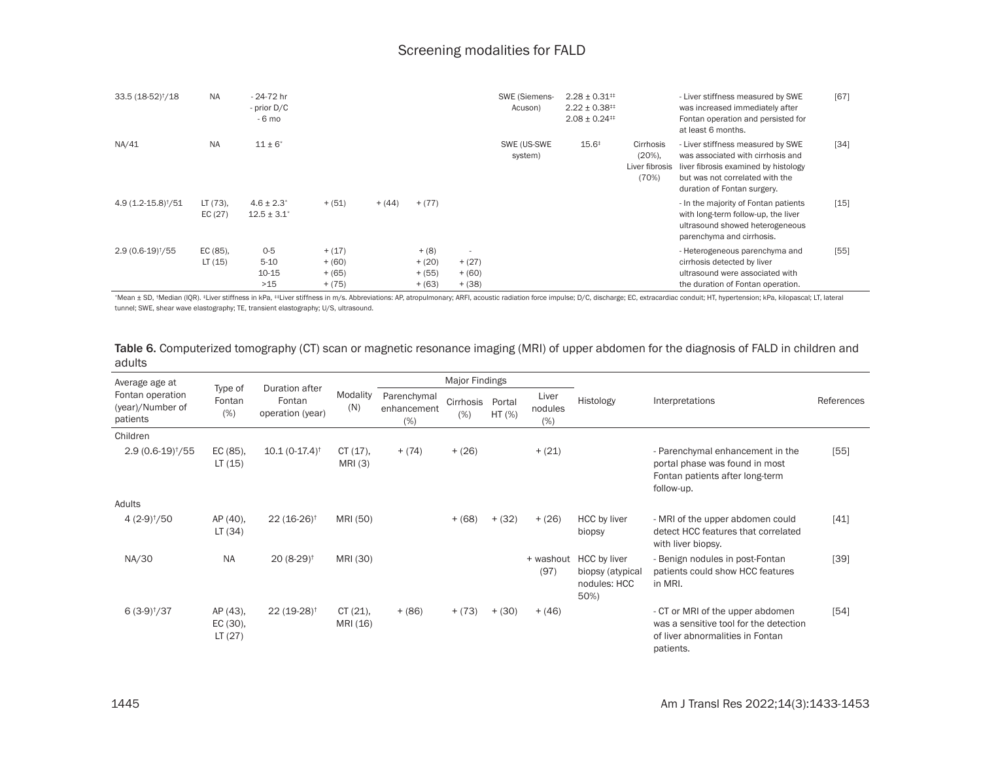| 33.5 (18-52) <sup>†</sup> /18 | <b>NA</b>             | $-24-72$ hr<br>- prior D/C<br>- 6 mo  |                                              |          |                                             |                                                              | SWE (Siemens-<br>Acuson) | $2.28 \pm 0.31^{+1}$<br>$2.22 \pm 0.38^{+1}$<br>$2.08 \pm 0.24^{+1}$ |                                                   | - Liver stiffness measured by SWE<br>was increased immediately after<br>Fontan operation and persisted for<br>at least 6 months.                                                 | [67]   |
|-------------------------------|-----------------------|---------------------------------------|----------------------------------------------|----------|---------------------------------------------|--------------------------------------------------------------|--------------------------|----------------------------------------------------------------------|---------------------------------------------------|----------------------------------------------------------------------------------------------------------------------------------------------------------------------------------|--------|
| NA/41                         | <b>NA</b>             | $11 \pm 6^*$                          |                                              |          |                                             |                                                              | SWE (US-SWE<br>system)   | $15.6^{\ddagger}$                                                    | Cirrhosis<br>$(20\%),$<br>Liver fibrosis<br>(70%) | - Liver stiffness measured by SWE<br>was associated with cirrhosis and<br>liver fibrosis examined by histology<br>but was not correlated with the<br>duration of Fontan surgery. | $[34]$ |
| $4.9(1.2 - 15.8)^{+}/51$      | $LT(73)$ ,<br>EC (27) | $4.6 \pm 2.3^*$<br>$12.5 \pm 3.1^*$   | $+ (51)$                                     | $+ (44)$ | $+ (77)$                                    |                                                              |                          |                                                                      |                                                   | - In the majority of Fontan patients<br>with long-term follow-up, the liver<br>ultrasound showed heterogeneous<br>parenchyma and cirrhosis.                                      | $[15]$ |
| $2.9(0.6-19)†/55$             | EC (85),<br>LT(15)    | $0-5$<br>$5 - 10$<br>$10 - 15$<br>>15 | $+ (17)$<br>$+ (60)$<br>$+ (65)$<br>$+ (75)$ |          | $+ (8)$<br>$+ (20)$<br>$+ (55)$<br>$+ (63)$ | $\overline{\phantom{a}}$<br>$+ (27)$<br>$+ (60)$<br>$+ (38)$ |                          |                                                                      |                                                   | - Heterogeneous parenchyma and<br>cirrhosis detected by liver<br>ultrasound were associated with<br>the duration of Fontan operation.                                            | [55]   |

\*Mean ± SD, \*Median (IQR). \*Liver stiffness in kPa, \*\*Liver stiffness in m/s. Abbreviations: AP, atropulmonary; ARFI, acoustic radiation force impulse; D/C, discharge; EC, extracardiac conduit; HT, hypertension; kPa, kilop tunnel; SWE, shear wave elastography; TE, transient elastography; U/S, ultrasound.

Table 6. Computerized tomography (CT) scan or magnetic resonance imaging (MRI) of upper abdomen for the diagnosis of FALD in children and adults

| Average age at                                   |                                | Duration after              |                        |                                   | Major Findings   |                    |                         |                                                                    |                                                                                                                             |            |
|--------------------------------------------------|--------------------------------|-----------------------------|------------------------|-----------------------------------|------------------|--------------------|-------------------------|--------------------------------------------------------------------|-----------------------------------------------------------------------------------------------------------------------------|------------|
| Fontan operation<br>(year)/Number of<br>patients | Type of<br>Fontan<br>(%)       | Fontan<br>operation (year)  | Modality<br>(N)        | Parenchymal<br>enhancement<br>(%) | Cirrhosis<br>(%) | Portal<br>$HT$ (%) | Liver<br>nodules<br>(%) | Histology                                                          | Interpretations                                                                                                             | References |
| Children                                         |                                |                             |                        |                                   |                  |                    |                         |                                                                    |                                                                                                                             |            |
| $2.9(0.6-19)†/55$                                | EC (85),<br>LT(15)             | $10.1(0-17.4)$ <sup>†</sup> | $CT(17)$ ,<br>MRI (3)  | $+ (74)$                          | $+ (26)$         |                    | $+ (21)$                |                                                                    | - Parenchymal enhancement in the<br>portal phase was found in most<br>Fontan patients after long-term<br>follow-up.         | $[55]$     |
| Adults                                           |                                |                             |                        |                                   |                  |                    |                         |                                                                    |                                                                                                                             |            |
| $4(2-9)†/50$                                     | AP (40),<br>LT(34)             | $22(16-26)^{\dagger}$       | MRI (50)               |                                   | $+ (68)$         | $+ (32)$           | $+ (26)$                | HCC by liver<br>biopsy                                             | - MRI of the upper abdomen could<br>detect HCC features that correlated<br>with liver biopsy.                               | $[41]$     |
| NA/30                                            | <b>NA</b>                      | $20(8-29)$ <sup>†</sup>     | MRI (30)               |                                   |                  |                    | (97)                    | + washout HCC by liver<br>biopsy (atypical<br>nodules: HCC<br>50%) | - Benign nodules in post-Fontan<br>patients could show HCC features<br>in MRI.                                              | [39]       |
| $6(3-9)†/37$                                     | AP (43),<br>EC (30),<br>LT(27) | $22(19-28)$ <sup>†</sup>    | $CT(21)$ ,<br>MRI (16) | $+ (86)$                          | $+ (73)$         | $+ (30)$           | $+ (46)$                |                                                                    | - CT or MRI of the upper abdomen<br>was a sensitive tool for the detection<br>of liver abnormalities in Fontan<br>patients. | [54]       |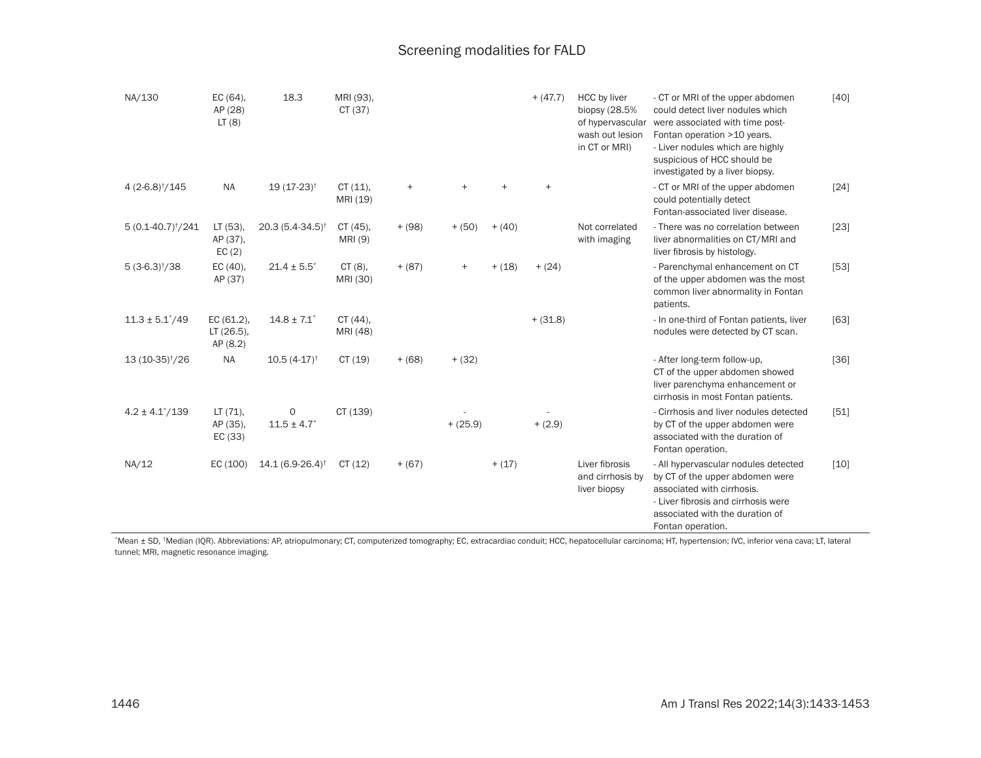| NA/130                      | EC (64),<br>AP (28)<br>LT(8)        | 18.3                             | MRI (93),<br>CT(37)    |           |            |          | $+ (47.7)$ | <b>HCC</b> by liver<br>biopsy (28.5%<br>of hypervascular<br>wash out lesion<br>in CT or MRI) | - CT or MRI of the upper abdomen<br>could detect liver nodules which<br>were associated with time post-<br>Fontan operation > 10 years.<br>- Liver nodules which are highly<br>suspicious of HCC should be<br>investigated by a liver biopsy. | [40]   |
|-----------------------------|-------------------------------------|----------------------------------|------------------------|-----------|------------|----------|------------|----------------------------------------------------------------------------------------------|-----------------------------------------------------------------------------------------------------------------------------------------------------------------------------------------------------------------------------------------------|--------|
| $4(2-6.8)†/145$             | <b>NA</b>                           | $19(17-23)^{+}$                  | CT(11),<br>MRI (19)    | $\ddot{}$ |            |          | $\ddot{}$  |                                                                                              | - CT or MRI of the upper abdomen<br>could potentially detect<br>Fontan-associated liver disease.                                                                                                                                              | [24]   |
| $5(0.1-40.7)^{\dagger}/241$ | LT (53),<br>AP (37),<br>EC(2)       | $20.3(5.4-34.5)$ <sup>†</sup>    | $CT(45)$ ,<br>MRI (9)  | $+ (98)$  | $+ (50)$   | $+ (40)$ |            | Not correlated<br>with imaging                                                               | - There was no correlation between<br>liver abnormalities on CT/MRI and<br>liver fibrosis by histology.                                                                                                                                       | $[23]$ |
| $5(3-6.3)†/38$              | EC (40),<br>AP (37)                 | $21.4 \pm 5.5^*$                 | $CT(8)$ ,<br>MRI (30)  | $+ (87)$  | $\ddot{}$  | $+ (18)$ | $+ (24)$   |                                                                                              | - Parenchymal enhancement on CT<br>of the upper abdomen was the most<br>common liver abnormality in Fontan<br>patients.                                                                                                                       | $[53]$ |
| $11.3 \pm 5.1^*/49$         | EC (61.2),<br>LT (26.5),<br>AP(8.2) | $14.8 \pm 7.1$                   | $CT(44)$ ,<br>MRI (48) |           |            |          | $+ (31.8)$ |                                                                                              | - In one-third of Fontan patients, liver<br>nodules were detected by CT scan.                                                                                                                                                                 | $[63]$ |
| 13 (10-35) <sup>†</sup> /26 | <b>NA</b>                           | $10.5(4-17)^{+}$                 | CT(19)                 | $+ (68)$  | $+ (32)$   |          |            |                                                                                              | - After long-term follow-up,<br>CT of the upper abdomen showed<br>liver parenchyma enhancement or<br>cirrhosis in most Fontan patients.                                                                                                       | $[36]$ |
| $4.2 \pm 4.1^{\circ}/139$   | $LT(71)$ ,<br>AP (35),<br>EC (33)   | 0<br>$11.5 \pm 4.7$ <sup>*</sup> | CT (139)               |           | $+ (25.9)$ |          | $+ (2.9)$  |                                                                                              | - Cirrhosis and liver nodules detected<br>by CT of the upper abdomen were<br>associated with the duration of<br>Fontan operation.                                                                                                             | [51]   |
| NA/12                       | EC(100)                             | 14.1 (6.9-26.4) <sup>†</sup>     | CT(12)                 | $+ (67)$  |            | $+ (17)$ |            | Liver fibrosis<br>and cirrhosis by<br>liver biopsy                                           | - All hypervascular nodules detected<br>by CT of the upper abdomen were<br>associated with cirrhosis.<br>- Liver fibrosis and cirrhosis were<br>associated with the duration of<br>Fontan operation.                                          | $[10]$ |

\*Mean ± SD, †Median (IQR). Abbreviations: AP, atriopulmonary; CT, computerized tomography; EC, extracardiac conduit; HCC, hepatocellular carcinoma; HT, hypertension; IVC, inferior vena cava; LT, lateral tunnel; MRI, magnetic resonance imaging.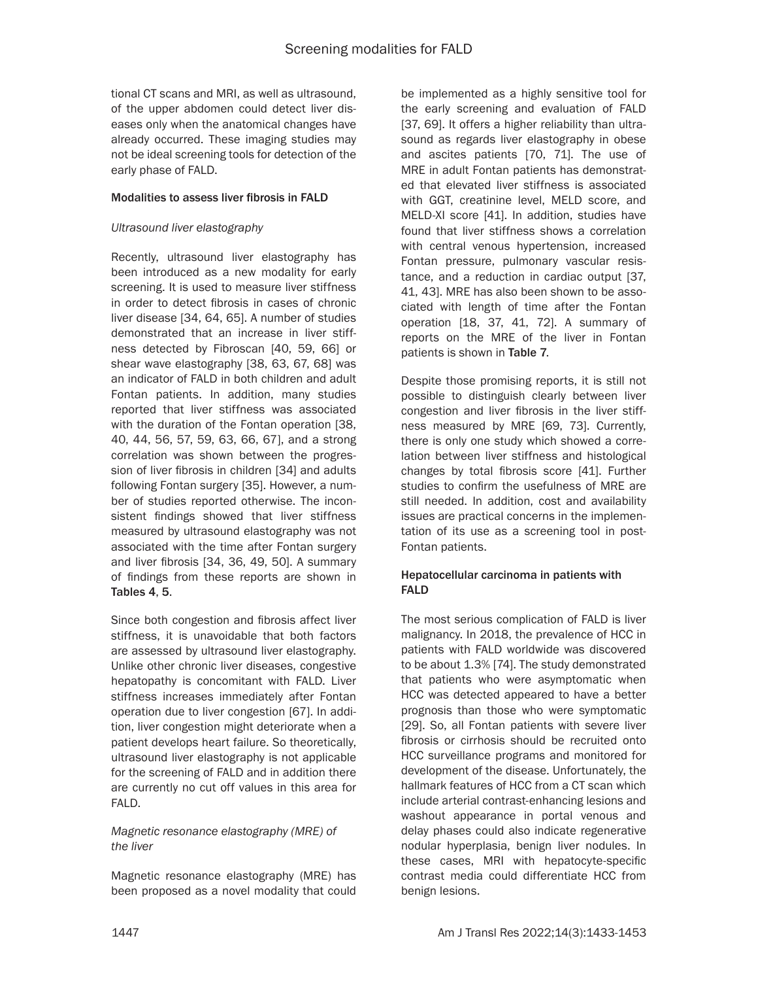tional CT scans and MRI, as well as ultrasound, of the upper abdomen could detect liver diseases only when the anatomical changes have already occurred. These imaging studies may not be ideal screening tools for detection of the early phase of FALD.

### Modalities to assess liver fibrosis in FALD

### *Ultrasound liver elastography*

Recently, ultrasound liver elastography has been introduced as a new modality for early screening. It is used to measure liver stiffness in order to detect fibrosis in cases of chronic liver disease [34, 64, 65]. A number of studies demonstrated that an increase in liver stiffness detected by Fibroscan [40, 59, 66] or shear wave elastography [38, 63, 67, 68] was an indicator of FALD in both children and adult Fontan patients. In addition, many studies reported that liver stiffness was associated with the duration of the Fontan operation [38, 40, 44, 56, 57, 59, 63, 66, 67], and a strong correlation was shown between the progression of liver fibrosis in children [34] and adults following Fontan surgery [35]. However, a number of studies reported otherwise. The inconsistent findings showed that liver stiffness measured by ultrasound elastography was not associated with the time after Fontan surgery and liver fibrosis [34, 36, 49, 50]. A summary of findings from these reports are shown in Tables 4, 5.

Since both congestion and fibrosis affect liver stiffness, it is unavoidable that both factors are assessed by ultrasound liver elastography. Unlike other chronic liver diseases, congestive hepatopathy is concomitant with FALD. Liver stiffness increases immediately after Fontan operation due to liver congestion [67]. In addition, liver congestion might deteriorate when a patient develops heart failure. So theoretically, ultrasound liver elastography is not applicable for the screening of FALD and in addition there are currently no cut off values in this area for FALD.

# *Magnetic resonance elastography (MRE) of the liver*

Magnetic resonance elastography (MRE) has been proposed as a novel modality that could be implemented as a highly sensitive tool for the early screening and evaluation of FALD [37, 69]. It offers a higher reliability than ultrasound as regards liver elastography in obese and ascites patients [70, 71]. The use of MRE in adult Fontan patients has demonstrated that elevated liver stiffness is associated with GGT, creatinine level, MELD score, and MELD-XI score [41]. In addition, studies have found that liver stiffness shows a correlation with central venous hypertension, increased Fontan pressure, pulmonary vascular resistance, and a reduction in cardiac output [37, 41, 43]. MRE has also been shown to be associated with length of time after the Fontan operation [18, 37, 41, 72]. A summary of reports on the MRE of the liver in Fontan patients is shown in Table 7.

Despite those promising reports, it is still not possible to distinguish clearly between liver congestion and liver fibrosis in the liver stiffness measured by MRE [69, 73]. Currently, there is only one study which showed a correlation between liver stiffness and histological changes by total fibrosis score [41]. Further studies to confirm the usefulness of MRE are still needed. In addition, cost and availability issues are practical concerns in the implementation of its use as a screening tool in post-Fontan patients.

# Hepatocellular carcinoma in patients with FALD

The most serious complication of FALD is liver malignancy. In 2018, the prevalence of HCC in patients with FALD worldwide was discovered to be about 1.3% [74]. The study demonstrated that patients who were asymptomatic when HCC was detected appeared to have a better prognosis than those who were symptomatic [29]. So, all Fontan patients with severe liver fibrosis or cirrhosis should be recruited onto HCC surveillance programs and monitored for development of the disease. Unfortunately, the hallmark features of HCC from a CT scan which include arterial contrast-enhancing lesions and washout appearance in portal venous and delay phases could also indicate regenerative nodular hyperplasia, benign liver nodules. In these cases, MRI with hepatocyte-specific contrast media could differentiate HCC from benign lesions.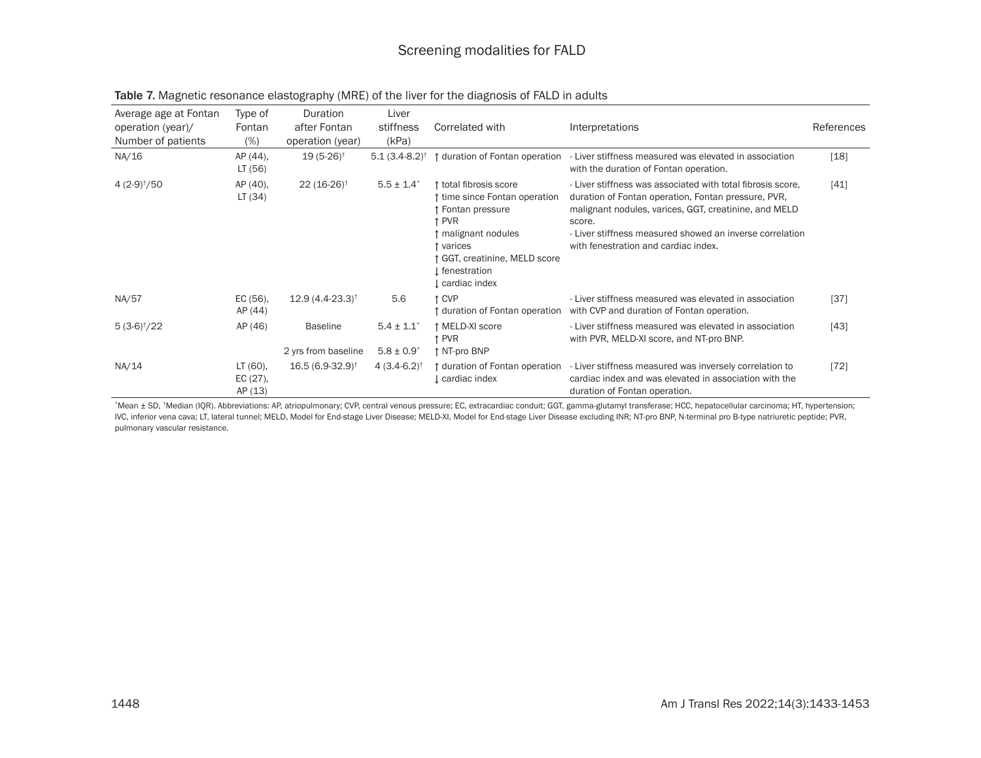| Average age at Fontan<br>operation (year)/<br>Number of patients | Type of<br>Fontan<br>(% )       | Duration<br>after Fontan<br>operation (year) | Liver<br>stiffness<br>(kPa)                 | Correlated with                                                                                                                                                                 | Interpretations                                                                                                                                                                                                                                                                           | References |
|------------------------------------------------------------------|---------------------------------|----------------------------------------------|---------------------------------------------|---------------------------------------------------------------------------------------------------------------------------------------------------------------------------------|-------------------------------------------------------------------------------------------------------------------------------------------------------------------------------------------------------------------------------------------------------------------------------------------|------------|
| NA/16                                                            | AP (44),<br>LT (56)             | $19(5-26)^{\dagger}$                         | $5.1(3.4-8.2)$ <sup>†</sup>                 | duration of Fontan operation                                                                                                                                                    | Liver stiffness measured was elevated in association<br>with the duration of Fontan operation.                                                                                                                                                                                            | $[18]$     |
| $4(2-9)†/50$                                                     | AP (40),<br>LT (34)             | $22(16-26)^+$                                | $5.5 \pm 1.4$                               | total fibrosis score<br>time since Fontan operation<br>Fontan pressure<br>` PVR<br>malignant nodules<br>varices<br>GGT, creatinine, MELD score<br>fenestration<br>cardiac index | - Liver stiffness was associated with total fibrosis score.<br>duration of Fontan operation, Fontan pressure, PVR,<br>malignant nodules, varices, GGT, creatinine, and MELD<br>score.<br>- Liver stiffness measured showed an inverse correlation<br>with fenestration and cardiac index. | [41]       |
| NA/57                                                            | EC (56),<br>AP (44)             | $12.9(4.4-23.3)$ <sup>†</sup>                | 5.6                                         | ↑ CVP<br>↑ duration of Fontan operation                                                                                                                                         | - Liver stiffness measured was elevated in association<br>with CVP and duration of Fontan operation.                                                                                                                                                                                      | $[37]$     |
| $5(3-6)†/22$                                                     | AP (46)                         | <b>Baseline</b><br>2 yrs from baseline       | $5.4 \pm 1.1$<br>$5.8 \pm 0.9$ <sup>*</sup> | ↑ MELD-XI score<br>↑ PVR<br>↑ NT-pro BNP                                                                                                                                        | - Liver stiffness measured was elevated in association<br>with PVR, MELD-XI score, and NT-pro BNP.                                                                                                                                                                                        | $[43]$     |
| NA/14                                                            | LT (60),<br>EC (27),<br>AP (13) | $16.5(6.9-32.9)$ <sup>†</sup>                | $4(3.4-6.2)^{+}$                            | ↑ duration of Fontan operation<br>cardiac index                                                                                                                                 | - Liver stiffness measured was inversely correlation to<br>cardiac index and was elevated in association with the<br>duration of Fontan operation.                                                                                                                                        | $[72]$     |

| Table 7. Magnetic resonance elastography (MRE) of the liver for the diagnosis of FALD in adults |  |
|-------------------------------------------------------------------------------------------------|--|
|-------------------------------------------------------------------------------------------------|--|

\*Mean ± SD, †Median (IQR). Abbreviations: AP, atriopulmonary; CVP, central venous pressure; EC, extracardiac conduit; GGT, gamma-glutamyl transferase; HCC, hepatocellular carcinoma; HT, hypertension; IVC, inferior vena cava; LT, lateral tunnel; MELD, Model for End-stage Liver Disease; MELD-XI, Model for End-stage Liver Disease excluding INR; NT-pro BNP, N-terminal pro B-type natriuretic peptide; PVR, pulmonary vascular resistance.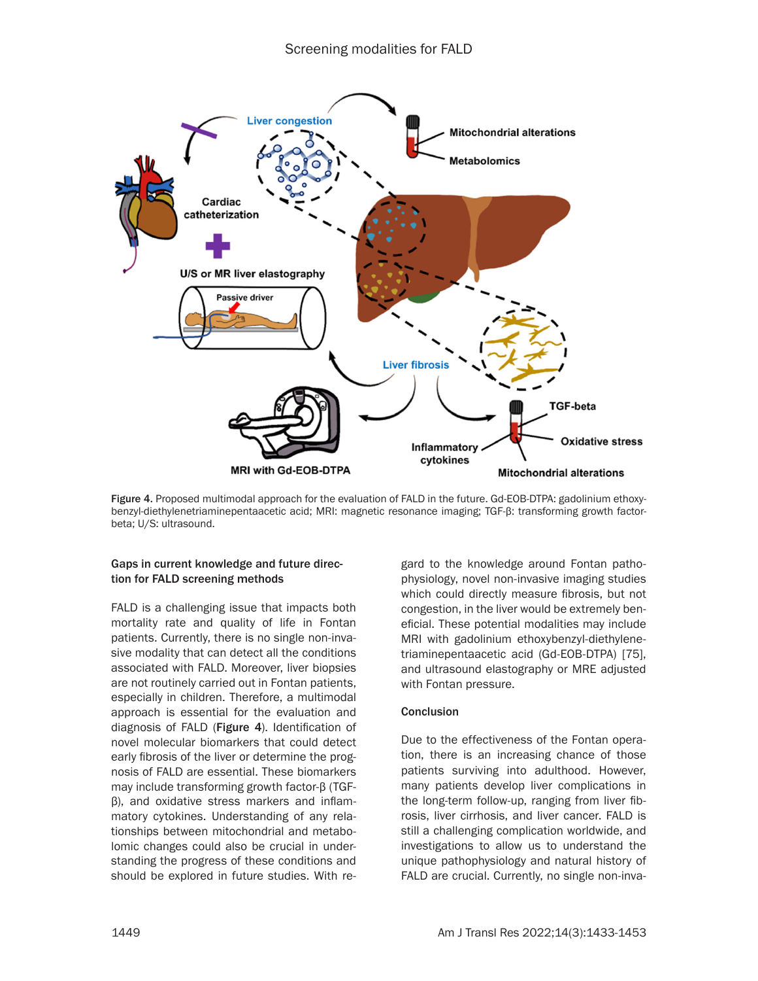

Figure 4. Proposed multimodal approach for the evaluation of FALD in the future. Gd-EOB-DTPA: gadolinium ethoxybenzyl-diethylenetriaminepentaacetic acid; MRI: magnetic resonance imaging; TGF-β: transforming growth factorbeta; U/S: ultrasound.

# Gaps in current knowledge and future direction for FALD screening methods

FALD is a challenging issue that impacts both mortality rate and quality of life in Fontan patients. Currently, there is no single non-invasive modality that can detect all the conditions associated with FALD. Moreover, liver biopsies are not routinely carried out in Fontan patients, especially in children. Therefore, a multimodal approach is essential for the evaluation and diagnosis of FALD (Figure 4). Identification of novel molecular biomarkers that could detect early fibrosis of the liver or determine the prognosis of FALD are essential. These biomarkers may include transforming growth factor-β (TGFβ), and oxidative stress markers and inflammatory cytokines. Understanding of any relationships between mitochondrial and metabolomic changes could also be crucial in understanding the progress of these conditions and should be explored in future studies. With regard to the knowledge around Fontan pathophysiology, novel non-invasive imaging studies which could directly measure fibrosis, but not congestion, in the liver would be extremely beneficial. These potential modalities may include MRI with gadolinium ethoxybenzyl-diethylenetriaminepentaacetic acid (Gd-EOB-DTPA) [75], and ultrasound elastography or MRE adjusted with Fontan pressure.

# Conclusion

Due to the effectiveness of the Fontan operation, there is an increasing chance of those patients surviving into adulthood. However, many patients develop liver complications in the long-term follow-up, ranging from liver fibrosis, liver cirrhosis, and liver cancer. FALD is still a challenging complication worldwide, and investigations to allow us to understand the unique pathophysiology and natural history of FALD are crucial. Currently, no single non-inva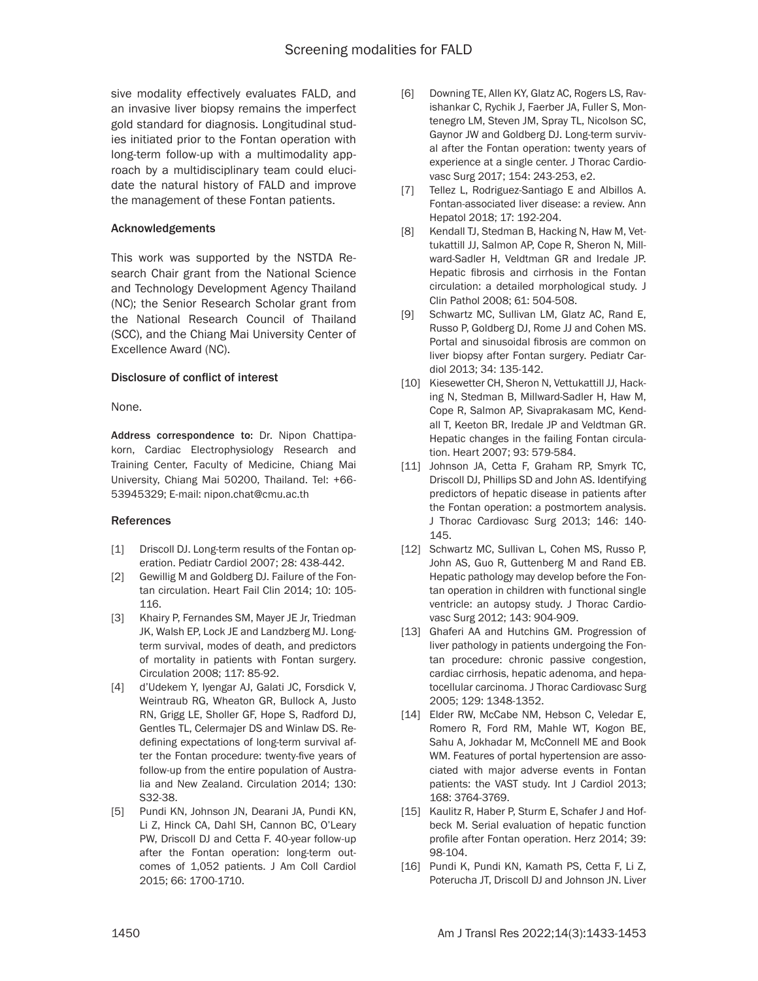sive modality effectively evaluates FALD, and an invasive liver biopsy remains the imperfect gold standard for diagnosis. Longitudinal studies initiated prior to the Fontan operation with long-term follow-up with a multimodality approach by a multidisciplinary team could elucidate the natural history of FALD and improve the management of these Fontan patients.

### Acknowledgements

This work was supported by the NSTDA Research Chair grant from the National Science and Technology Development Agency Thailand (NC); the Senior Research Scholar grant from the National Research Council of Thailand (SCC), and the Chiang Mai University Center of Excellence Award (NC).

### Disclosure of conflict of interest

None.

Address correspondence to: Dr. Nipon Chattipakorn, Cardiac Electrophysiology Research and Training Center, Faculty of Medicine, Chiang Mai University, Chiang Mai 50200, Thailand. Tel: +66- 53945329; E-mail: nipon.chat@cmu.ac.th

#### References

- [1] Driscoll DJ. Long-term results of the Fontan operation. Pediatr Cardiol 2007; 28: 438-442.
- [2] Gewillig M and Goldberg DJ. Failure of the Fontan circulation. Heart Fail Clin 2014; 10: 105- 116.
- [3] Khairy P, Fernandes SM, Mayer JE Jr, Triedman JK, Walsh EP, Lock JE and Landzberg MJ. Longterm survival, modes of death, and predictors of mortality in patients with Fontan surgery. Circulation 2008; 117: 85-92.
- [4] d'Udekem Y, Iyengar AJ, Galati JC, Forsdick V, Weintraub RG, Wheaton GR, Bullock A, Justo RN, Grigg LE, Sholler GF, Hope S, Radford DJ, Gentles TL, Celermajer DS and Winlaw DS. Redefining expectations of long-term survival after the Fontan procedure: twenty-five years of follow-up from the entire population of Australia and New Zealand. Circulation 2014; 130: S32-38.
- [5] Pundi KN, Johnson JN, Dearani JA, Pundi KN, Li Z, Hinck CA, Dahl SH, Cannon BC, O'Leary PW, Driscoll DJ and Cetta F. 40-year follow-up after the Fontan operation: long-term outcomes of 1,052 patients. J Am Coll Cardiol 2015; 66: 1700-1710.
- [6] Downing TE, Allen KY, Glatz AC, Rogers LS, Ravishankar C, Rychik J, Faerber JA, Fuller S, Montenegro LM, Steven JM, Spray TL, Nicolson SC, Gaynor JW and Goldberg DJ. Long-term survival after the Fontan operation: twenty years of experience at a single center. J Thorac Cardiovasc Surg 2017; 154: 243-253, e2.
- [7] Tellez L, Rodriguez-Santiago E and Albillos A. Fontan-associated liver disease: a review. Ann Hepatol 2018; 17: 192-204.
- [8] Kendall TJ, Stedman B, Hacking N, Haw M, Vettukattill JJ, Salmon AP, Cope R, Sheron N, Millward-Sadler H, Veldtman GR and Iredale JP. Hepatic fibrosis and cirrhosis in the Fontan circulation: a detailed morphological study. J Clin Pathol 2008; 61: 504-508.
- [9] Schwartz MC, Sullivan LM, Glatz AC, Rand E, Russo P, Goldberg DJ, Rome JJ and Cohen MS. Portal and sinusoidal fibrosis are common on liver biopsy after Fontan surgery. Pediatr Cardiol 2013; 34: 135-142.
- [10] Kiesewetter CH, Sheron N, Vettukattill JJ, Hacking N, Stedman B, Millward-Sadler H, Haw M, Cope R, Salmon AP, Sivaprakasam MC, Kendall T, Keeton BR, Iredale JP and Veldtman GR. Hepatic changes in the failing Fontan circulation. Heart 2007; 93: 579-584.
- [11] Johnson JA, Cetta F, Graham RP, Smyrk TC, Driscoll DJ, Phillips SD and John AS. Identifying predictors of hepatic disease in patients after the Fontan operation: a postmortem analysis. J Thorac Cardiovasc Surg 2013; 146: 140- 145.
- [12] Schwartz MC, Sullivan L, Cohen MS, Russo P, John AS, Guo R, Guttenberg M and Rand EB. Hepatic pathology may develop before the Fontan operation in children with functional single ventricle: an autopsy study. J Thorac Cardiovasc Surg 2012; 143: 904-909.
- [13] Ghaferi AA and Hutchins GM. Progression of liver pathology in patients undergoing the Fontan procedure: chronic passive congestion, cardiac cirrhosis, hepatic adenoma, and hepatocellular carcinoma. J Thorac Cardiovasc Surg 2005; 129: 1348-1352.
- [14] Elder RW, McCabe NM, Hebson C, Veledar E, Romero R, Ford RM, Mahle WT, Kogon BE, Sahu A, Jokhadar M, McConnell ME and Book WM. Features of portal hypertension are associated with major adverse events in Fontan patients: the VAST study. Int J Cardiol 2013; 168: 3764-3769.
- [15] Kaulitz R, Haber P, Sturm E, Schafer J and Hofbeck M. Serial evaluation of hepatic function profile after Fontan operation. Herz 2014; 39: 98-104.
- [16] Pundi K, Pundi KN, Kamath PS, Cetta F, Li Z, Poterucha JT, Driscoll DJ and Johnson JN. Liver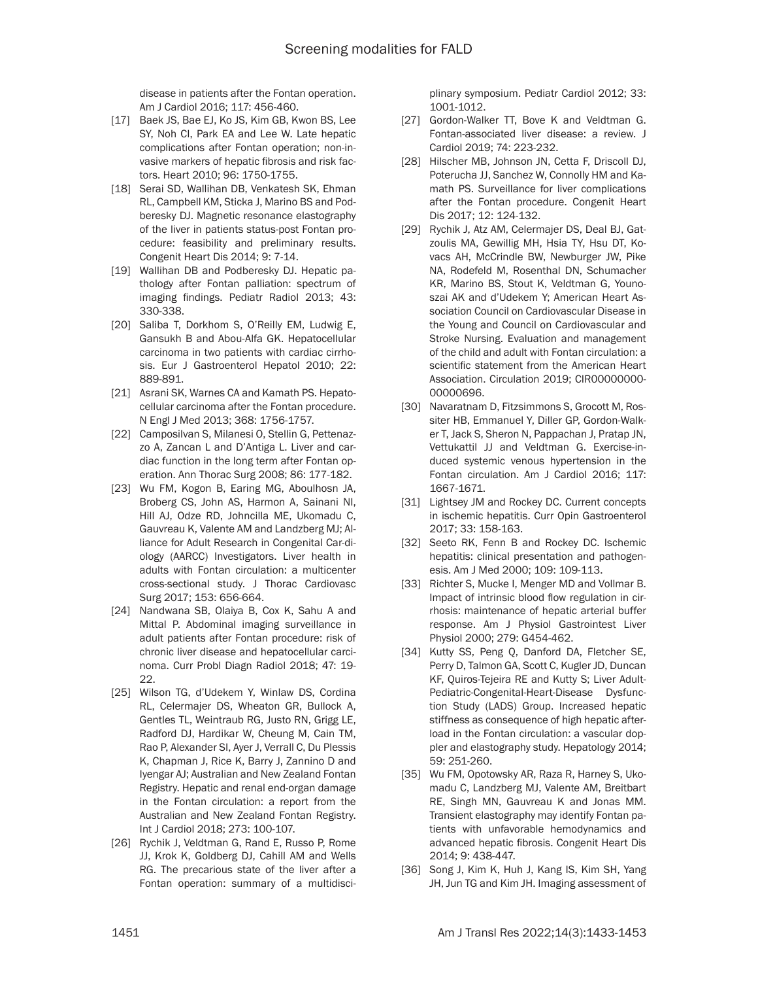disease in patients after the Fontan operation. Am J Cardiol 2016; 117: 456-460.

- [17] Baek JS, Bae EJ, Ko JS, Kim GB, Kwon BS, Lee SY, Noh CI, Park EA and Lee W. Late hepatic complications after Fontan operation; non-invasive markers of hepatic fibrosis and risk factors. Heart 2010; 96: 1750-1755.
- [18] Serai SD, Wallihan DB, Venkatesh SK, Ehman RL, Campbell KM, Sticka J, Marino BS and Podberesky DJ. Magnetic resonance elastography of the liver in patients status-post Fontan procedure: feasibility and preliminary results. Congenit Heart Dis 2014; 9: 7-14.
- [19] Wallihan DB and Podberesky DJ. Hepatic pathology after Fontan palliation: spectrum of imaging findings. Pediatr Radiol 2013; 43: 330-338.
- [20] Saliba T, Dorkhom S, O'Reilly EM, Ludwig E, Gansukh B and Abou-Alfa GK. Hepatocellular carcinoma in two patients with cardiac cirrhosis. Eur J Gastroenterol Hepatol 2010; 22: 889-891.
- [21] Asrani SK, Warnes CA and Kamath PS. Hepatocellular carcinoma after the Fontan procedure. N Engl J Med 2013; 368: 1756-1757.
- [22] Camposilvan S, Milanesi O, Stellin G, Pettenazzo A, Zancan L and D'Antiga L. Liver and cardiac function in the long term after Fontan operation. Ann Thorac Surg 2008; 86: 177-182.
- [23] Wu FM, Kogon B, Earing MG, Aboulhosn JA, Broberg CS, John AS, Harmon A, Sainani NI, Hill AJ, Odze RD, Johncilla ME, Ukomadu C, Gauvreau K, Valente AM and Landzberg MJ; Alliance for Adult Research in Congenital Car-diology (AARCC) Investigators. Liver health in adults with Fontan circulation: a multicenter cross-sectional study. J Thorac Cardiovasc Surg 2017; 153: 656-664.
- [24] Nandwana SB, Olaiya B, Cox K, Sahu A and Mittal P. Abdominal imaging surveillance in adult patients after Fontan procedure: risk of chronic liver disease and hepatocellular carcinoma. Curr Probl Diagn Radiol 2018; 47: 19- 22.
- [25] Wilson TG, d'Udekem Y, Winlaw DS, Cordina RL, Celermajer DS, Wheaton GR, Bullock A, Gentles TL, Weintraub RG, Justo RN, Grigg LE, Radford DJ, Hardikar W, Cheung M, Cain TM, Rao P, Alexander SI, Ayer J, Verrall C, Du Plessis K, Chapman J, Rice K, Barry J, Zannino D and Iyengar AJ; Australian and New Zealand Fontan Registry. Hepatic and renal end-organ damage in the Fontan circulation: a report from the Australian and New Zealand Fontan Registry. Int J Cardiol 2018; 273: 100-107.
- [26] Rychik J, Veldtman G, Rand E, Russo P, Rome JJ, Krok K, Goldberg DJ, Cahill AM and Wells RG. The precarious state of the liver after a Fontan operation: summary of a multidisci-

plinary symposium. Pediatr Cardiol 2012; 33: 1001-1012.

- [27] Gordon-Walker TT, Bove K and Veldtman G. Fontan-associated liver disease: a review. J Cardiol 2019; 74: 223-232.
- [28] Hilscher MB, Johnson JN, Cetta F, Driscoll DJ, Poterucha JJ, Sanchez W, Connolly HM and Kamath PS. Surveillance for liver complications after the Fontan procedure. Congenit Heart Dis 2017; 12: 124-132.
- [29] Rychik J, Atz AM, Celermajer DS, Deal BJ, Gatzoulis MA, Gewillig MH, Hsia TY, Hsu DT, Kovacs AH, McCrindle BW, Newburger JW, Pike NA, Rodefeld M, Rosenthal DN, Schumacher KR, Marino BS, Stout K, Veldtman G, Younoszai AK and d'Udekem Y; American Heart Association Council on Cardiovascular Disease in the Young and Council on Cardiovascular and Stroke Nursing. Evaluation and management of the child and adult with Fontan circulation: a scientific statement from the American Heart Association. Circulation 2019; CIR00000000-00000696.
- [30] Navaratnam D, Fitzsimmons S, Grocott M, Rossiter HB, Emmanuel Y, Diller GP, Gordon-Walker T, Jack S, Sheron N, Pappachan J, Pratap JN, Vettukattil JJ and Veldtman G. Exercise-induced systemic venous hypertension in the Fontan circulation. Am J Cardiol 2016; 117: 1667-1671.
- [31] Lightsey JM and Rockey DC. Current concepts in ischemic hepatitis. Curr Opin Gastroenterol 2017; 33: 158-163.
- [32] Seeto RK, Fenn B and Rockey DC. Ischemic hepatitis: clinical presentation and pathogenesis. Am J Med 2000; 109: 109-113.
- [33] Richter S, Mucke I, Menger MD and Vollmar B. Impact of intrinsic blood flow regulation in cirrhosis: maintenance of hepatic arterial buffer response. Am J Physiol Gastrointest Liver Physiol 2000; 279: G454-462.
- [34] Kutty SS, Peng Q, Danford DA, Fletcher SE, Perry D, Talmon GA, Scott C, Kugler JD, Duncan KF, Quiros-Tejeira RE and Kutty S; Liver Adult-Pediatric-Congenital-Heart-Disease Dysfunction Study (LADS) Group. Increased hepatic stiffness as consequence of high hepatic afterload in the Fontan circulation: a vascular doppler and elastography study. Hepatology 2014; 59: 251-260.
- [35] Wu FM, Opotowsky AR, Raza R, Harney S, Ukomadu C, Landzberg MJ, Valente AM, Breitbart RE, Singh MN, Gauvreau K and Jonas MM. Transient elastography may identify Fontan patients with unfavorable hemodynamics and advanced hepatic fibrosis. Congenit Heart Dis 2014; 9: 438-447.
- [36] Song J, Kim K, Huh J, Kang IS, Kim SH, Yang JH, Jun TG and Kim JH. Imaging assessment of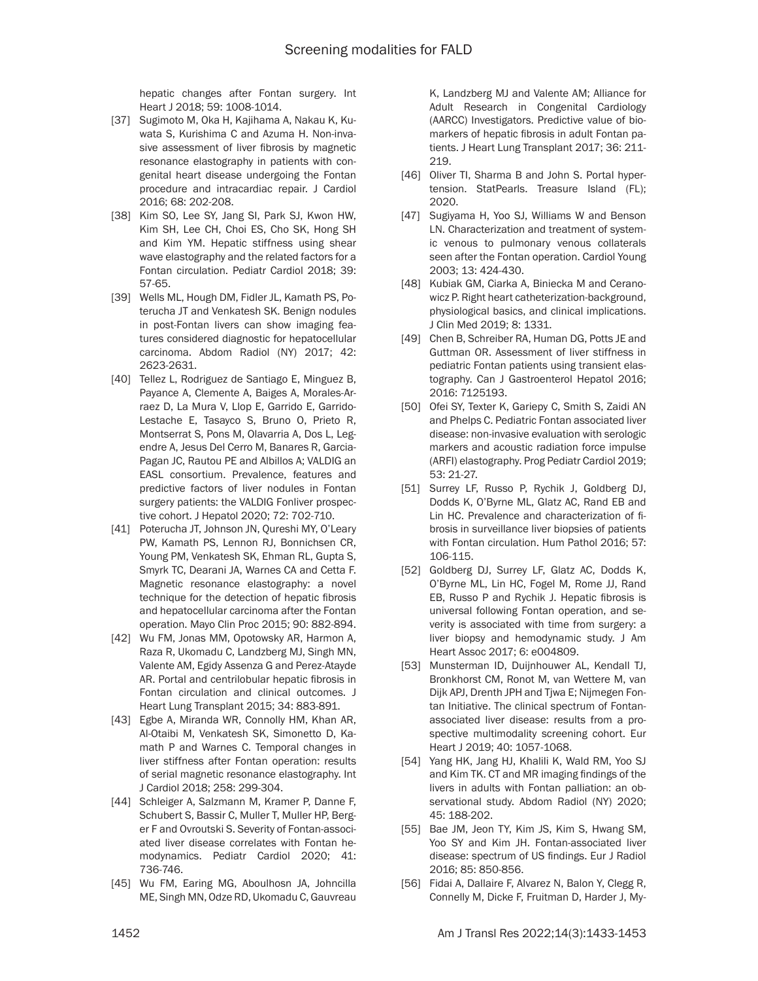hepatic changes after Fontan surgery. Int Heart J 2018; 59: 1008-1014.

- [37] Sugimoto M, Oka H, Kajihama A, Nakau K, Kuwata S, Kurishima C and Azuma H. Non-invasive assessment of liver fibrosis by magnetic resonance elastography in patients with congenital heart disease undergoing the Fontan procedure and intracardiac repair. J Cardiol 2016; 68: 202-208.
- [38] Kim SO, Lee SY, Jang SI, Park SJ, Kwon HW, Kim SH, Lee CH, Choi ES, Cho SK, Hong SH and Kim YM. Hepatic stiffness using shear wave elastography and the related factors for a Fontan circulation. Pediatr Cardiol 2018; 39: 57-65.
- [39] Wells ML, Hough DM, Fidler JL, Kamath PS, Poterucha JT and Venkatesh SK. Benign nodules in post-Fontan livers can show imaging features considered diagnostic for hepatocellular carcinoma. Abdom Radiol (NY) 2017; 42: 2623-2631.
- [40] Tellez L, Rodriguez de Santiago E, Minguez B, Payance A, Clemente A, Baiges A, Morales-Arraez D, La Mura V, Llop E, Garrido E, Garrido-Lestache E, Tasayco S, Bruno O, Prieto R, Montserrat S, Pons M, Olavarria A, Dos L, Legendre A, Jesus Del Cerro M, Banares R, Garcia-Pagan JC, Rautou PE and Albillos A; VALDIG an EASL consortium. Prevalence, features and predictive factors of liver nodules in Fontan surgery patients: the VALDIG Fonliver prospective cohort. J Hepatol 2020; 72: 702-710.
- [41] Poterucha JT, Johnson JN, Qureshi MY, O'Leary PW, Kamath PS, Lennon RJ, Bonnichsen CR, Young PM, Venkatesh SK, Ehman RL, Gupta S, Smyrk TC, Dearani JA, Warnes CA and Cetta F. Magnetic resonance elastography: a novel technique for the detection of hepatic fibrosis and hepatocellular carcinoma after the Fontan operation. Mayo Clin Proc 2015; 90: 882-894.
- [42] Wu FM, Jonas MM, Opotowsky AR, Harmon A, Raza R, Ukomadu C, Landzberg MJ, Singh MN, Valente AM, Egidy Assenza G and Perez-Atayde AR. Portal and centrilobular hepatic fibrosis in Fontan circulation and clinical outcomes. J Heart Lung Transplant 2015; 34: 883-891.
- [43] Egbe A, Miranda WR, Connolly HM, Khan AR, Al-Otaibi M, Venkatesh SK, Simonetto D, Kamath P and Warnes C. Temporal changes in liver stiffness after Fontan operation: results of serial magnetic resonance elastography. Int J Cardiol 2018; 258: 299-304.
- [44] Schleiger A, Salzmann M, Kramer P, Danne F, Schubert S, Bassir C, Muller T, Muller HP, Berger F and Ovroutski S. Severity of Fontan-associated liver disease correlates with Fontan hemodynamics. Pediatr Cardiol 2020; 41: 736-746.
- [45] Wu FM, Earing MG, Aboulhosn JA, Johncilla ME, Singh MN, Odze RD, Ukomadu C, Gauvreau

K, Landzberg MJ and Valente AM; Alliance for Adult Research in Congenital Cardiology (AARCC) Investigators. Predictive value of biomarkers of hepatic fibrosis in adult Fontan patients. J Heart Lung Transplant 2017; 36: 211- 219.

- [46] Oliver TI, Sharma B and John S. Portal hypertension. StatPearls. Treasure Island (FL); 2020.
- [47] Sugiyama H, Yoo SJ, Williams W and Benson LN. Characterization and treatment of systemic venous to pulmonary venous collaterals seen after the Fontan operation. Cardiol Young 2003; 13: 424-430.
- [48] Kubiak GM, Ciarka A, Biniecka M and Ceranowicz P. Right heart catheterization-background, physiological basics, and clinical implications. J Clin Med 2019; 8: 1331.
- [49] Chen B, Schreiber RA, Human DG, Potts JE and Guttman OR. Assessment of liver stiffness in pediatric Fontan patients using transient elastography. Can J Gastroenterol Hepatol 2016; 2016: 7125193.
- [50] Ofei SY, Texter K, Gariepy C, Smith S, Zaidi AN and Phelps C. Pediatric Fontan associated liver disease: non-invasive evaluation with serologic markers and acoustic radiation force impulse (ARFI) elastography. Prog Pediatr Cardiol 2019; 53: 21-27.
- [51] Surrey LF, Russo P, Rychik J, Goldberg DJ, Dodds K, O'Byrne ML, Glatz AC, Rand EB and Lin HC. Prevalence and characterization of fibrosis in surveillance liver biopsies of patients with Fontan circulation. Hum Pathol 2016; 57: 106-115.
- [52] Goldberg DJ, Surrey LF, Glatz AC, Dodds K, O'Byrne ML, Lin HC, Fogel M, Rome JJ, Rand EB, Russo P and Rychik J. Hepatic fibrosis is universal following Fontan operation, and severity is associated with time from surgery: a liver biopsy and hemodynamic study. J Am Heart Assoc 2017; 6: e004809.
- [53] Munsterman ID, Duijnhouwer AL, Kendall TJ, Bronkhorst CM, Ronot M, van Wettere M, van Dijk APJ, Drenth JPH and Tjwa E; Nijmegen Fontan Initiative. The clinical spectrum of Fontanassociated liver disease: results from a prospective multimodality screening cohort. Eur Heart J 2019; 40: 1057-1068.
- [54] Yang HK, Jang HJ, Khalili K, Wald RM, Yoo SJ and Kim TK. CT and MR imaging findings of the livers in adults with Fontan palliation: an observational study. Abdom Radiol (NY) 2020; 45: 188-202.
- [55] Bae JM, Jeon TY, Kim JS, Kim S, Hwang SM, Yoo SY and Kim JH. Fontan-associated liver disease: spectrum of US findings. Eur J Radiol 2016; 85: 850-856.
- [56] Fidai A, Dallaire F, Alvarez N, Balon Y, Clegg R, Connelly M, Dicke F, Fruitman D, Harder J, My-